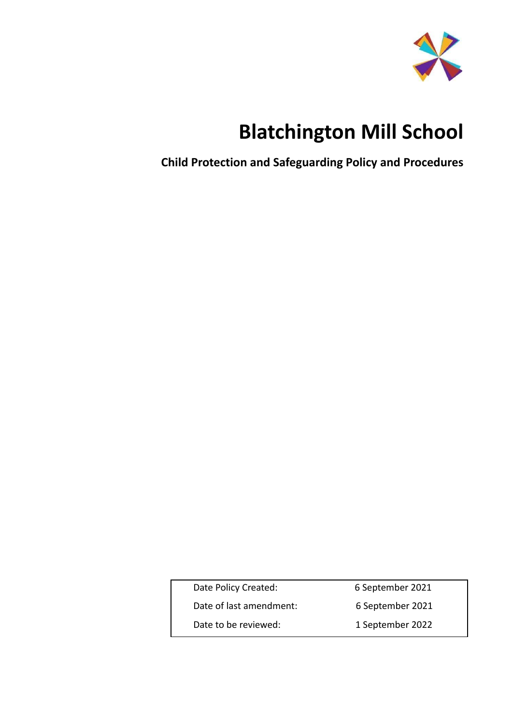

# **Blatchington Mill School**

**Child Protection and Safeguarding Policy and Procedures**

| Date Policy Created:    | 6 September 2021 |
|-------------------------|------------------|
| Date of last amendment: | 6 September 2021 |
| Date to be reviewed:    | 1 September 2022 |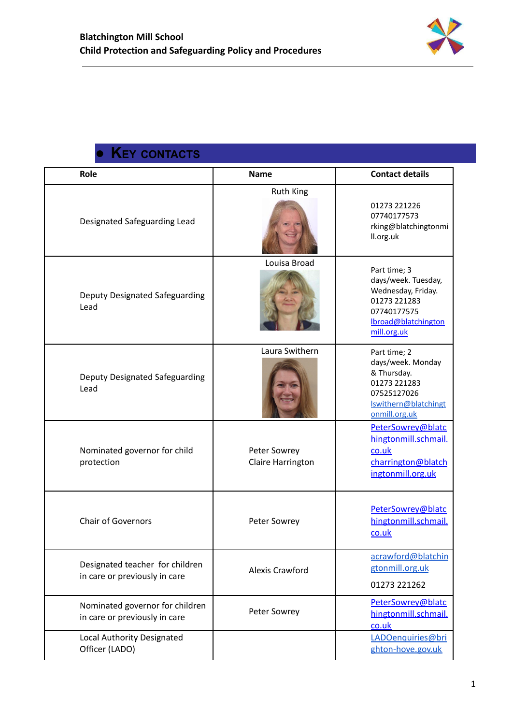

## **● KEY CONTACTS**

<span id="page-1-0"></span>

| Role                                                             | <b>Name</b>                       | <b>Contact details</b>                                                                                                         |
|------------------------------------------------------------------|-----------------------------------|--------------------------------------------------------------------------------------------------------------------------------|
| Designated Safeguarding Lead                                     | <b>Ruth King</b>                  | 01273 221226<br>07740177573<br>rking@blatchingtonmi<br>II.org.uk                                                               |
| Deputy Designated Safeguarding<br>Lead                           | Louisa Broad                      | Part time; 3<br>days/week. Tuesday,<br>Wednesday, Friday.<br>01273 221283<br>07740177575<br>Ibroad@blatchington<br>mill.org.uk |
| Deputy Designated Safeguarding<br>Lead                           | Laura Swithern                    | Part time; 2<br>days/week. Monday<br>& Thursday.<br>01273 221283<br>07525127026<br>Iswithern@blatchingt<br>onmill.org.uk       |
| Nominated governor for child<br>protection                       | Peter Sowrey<br>Claire Harrington | PeterSowrey@blatc<br>hingtonmill.schmail.<br>co.uk<br>charrington@blatch<br>ingtonmill.org.uk                                  |
| <b>Chair of Governors</b>                                        | Peter Sowrey                      | PeterSowrey@blatc<br>hingtonmill.schmail.<br>co.uk                                                                             |
| Designated teacher for children<br>in care or previously in care | <b>Alexis Crawford</b>            | acrawford@blatchin<br>gtonmill.org.uk<br>01273 221262                                                                          |
| Nominated governor for children<br>in care or previously in care | Peter Sowrey                      | PeterSowrey@blatc<br>hingtonmill.schmail.<br>co.uk                                                                             |
| Local Authority Designated<br>Officer (LADO)                     |                                   | LADOenquiries@bri<br>ghton-hove.gov.uk                                                                                         |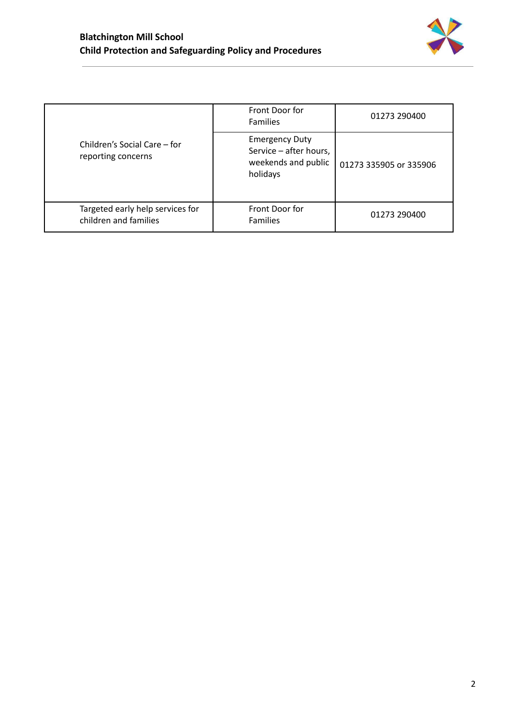

|                                                           | Front Door for<br><b>Families</b>                                                  | 01273 290400           |
|-----------------------------------------------------------|------------------------------------------------------------------------------------|------------------------|
| Children's Social Care – for<br>reporting concerns        | <b>Emergency Duty</b><br>Service - after hours,<br>weekends and public<br>holidays | 01273 335905 or 335906 |
| Targeted early help services for<br>children and families | Front Door for<br><b>Families</b>                                                  | 01273 290400           |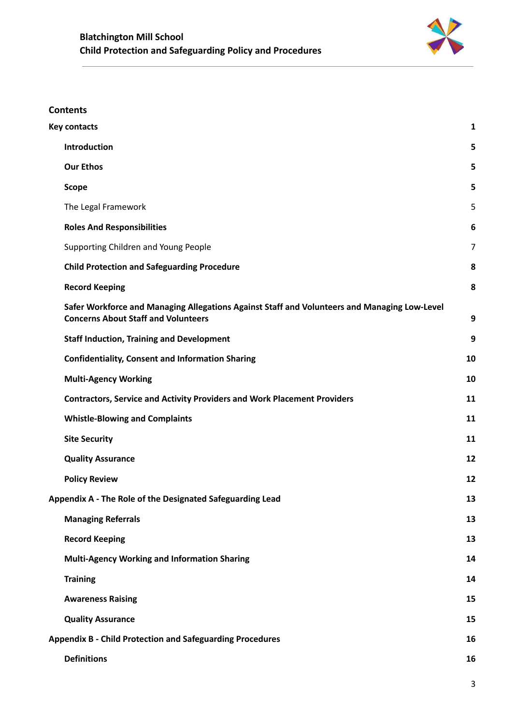

## **Contents**

| <b>Key contacts</b>                                                                                                                        | $\mathbf{1}$ |
|--------------------------------------------------------------------------------------------------------------------------------------------|--------------|
| Introduction                                                                                                                               | 5            |
| <b>Our Ethos</b>                                                                                                                           | 5            |
| <b>Scope</b>                                                                                                                               | 5            |
| The Legal Framework                                                                                                                        | 5            |
| <b>Roles And Responsibilities</b>                                                                                                          | 6            |
| Supporting Children and Young People                                                                                                       | 7            |
| <b>Child Protection and Safeguarding Procedure</b>                                                                                         | 8            |
| <b>Record Keeping</b>                                                                                                                      | 8            |
| Safer Workforce and Managing Allegations Against Staff and Volunteers and Managing Low-Level<br><b>Concerns About Staff and Volunteers</b> | 9            |
| <b>Staff Induction, Training and Development</b>                                                                                           | 9            |
| <b>Confidentiality, Consent and Information Sharing</b>                                                                                    | 10           |
| <b>Multi-Agency Working</b>                                                                                                                | 10           |
| <b>Contractors, Service and Activity Providers and Work Placement Providers</b>                                                            | 11           |
| <b>Whistle-Blowing and Complaints</b>                                                                                                      | 11           |
| <b>Site Security</b>                                                                                                                       | 11           |
| <b>Quality Assurance</b>                                                                                                                   | 12           |
| <b>Policy Review</b>                                                                                                                       | 12           |
| Appendix A - The Role of the Designated Safeguarding Lead                                                                                  | 13           |
| <b>Managing Referrals</b>                                                                                                                  | 13           |
| <b>Record Keeping</b>                                                                                                                      | 13           |
| <b>Multi-Agency Working and Information Sharing</b>                                                                                        | 14           |
| <b>Training</b>                                                                                                                            | 14           |
| <b>Awareness Raising</b>                                                                                                                   | 15           |
| <b>Quality Assurance</b>                                                                                                                   | 15           |
| <b>Appendix B - Child Protection and Safeguarding Procedures</b>                                                                           | 16           |
| <b>Definitions</b>                                                                                                                         | 16           |
|                                                                                                                                            |              |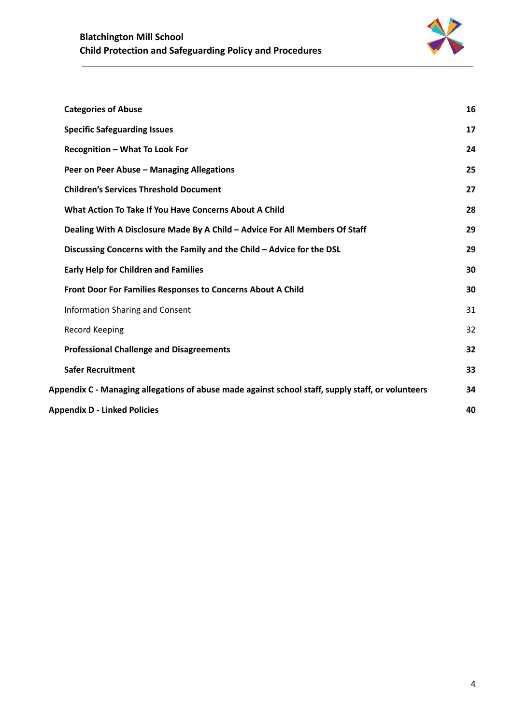

|                                           | <b>Categories of Abuse</b>                                                                        | 16 |  |  |
|-------------------------------------------|---------------------------------------------------------------------------------------------------|----|--|--|
|                                           | <b>Specific Safeguarding Issues</b>                                                               | 17 |  |  |
|                                           | Recognition - What To Look For                                                                    | 24 |  |  |
|                                           | Peer on Peer Abuse - Managing Allegations                                                         | 25 |  |  |
|                                           | <b>Children's Services Threshold Document</b>                                                     | 27 |  |  |
|                                           | What Action To Take If You Have Concerns About A Child                                            | 28 |  |  |
|                                           | Dealing With A Disclosure Made By A Child - Advice For All Members Of Staff                       | 29 |  |  |
|                                           | Discussing Concerns with the Family and the Child - Advice for the DSL                            | 29 |  |  |
|                                           | <b>Early Help for Children and Families</b>                                                       | 30 |  |  |
|                                           | Front Door For Families Responses to Concerns About A Child                                       | 30 |  |  |
|                                           | <b>Information Sharing and Consent</b>                                                            | 31 |  |  |
|                                           | Record Keeping                                                                                    | 32 |  |  |
|                                           | <b>Professional Challenge and Disagreements</b>                                                   | 32 |  |  |
|                                           | <b>Safer Recruitment</b>                                                                          | 33 |  |  |
|                                           | Appendix C - Managing allegations of abuse made against school staff, supply staff, or volunteers | 34 |  |  |
| <b>Appendix D - Linked Policies</b><br>40 |                                                                                                   |    |  |  |
|                                           |                                                                                                   |    |  |  |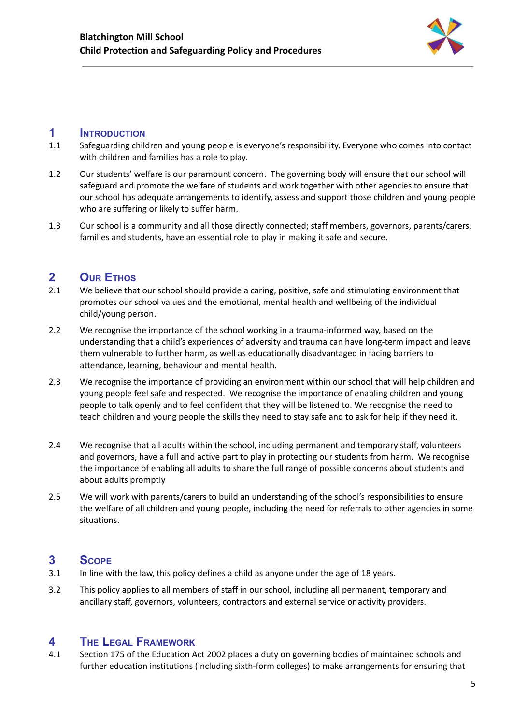

## <span id="page-5-0"></span>**1 INTRODUCTION**

- 1.1 Safeguarding children and young people is everyone's responsibility. Everyone who comes into contact with children and families has a role to play.
- 1.2 Our students' welfare is our paramount concern. The governing body will ensure that our school will safeguard and promote the welfare of students and work together with other agencies to ensure that our school has adequate arrangements to identify, assess and support those children and young people who are suffering or likely to suffer harm.
- 1.3 Our school is a community and all those directly connected; staff members, governors, parents/carers, families and students, have an essential role to play in making it safe and secure.

## <span id="page-5-1"></span>**2 OUR ETHOS**

- 2.1 We believe that our school should provide a caring, positive, safe and stimulating environment that promotes our school values and the emotional, mental health and wellbeing of the individual child/young person.
- 2.2 We recognise the importance of the school working in a trauma-informed way, based on the understanding that a child's experiences of adversity and trauma can have long-term impact and leave them vulnerable to further harm, as well as educationally disadvantaged in facing barriers to attendance, learning, behaviour and mental health.
- 2.3 We recognise the importance of providing an environment within our school that will help children and young people feel safe and respected. We recognise the importance of enabling children and young people to talk openly and to feel confident that they will be listened to. We recognise the need to teach children and young people the skills they need to stay safe and to ask for help if they need it.
- 2.4 We recognise that all adults within the school, including permanent and temporary staff, volunteers and governors, have a full and active part to play in protecting our students from harm. We recognise the importance of enabling all adults to share the full range of possible concerns about students and about adults promptly
- 2.5 We will work with parents/carers to build an understanding of the school's responsibilities to ensure the welfare of all children and young people, including the need for referrals to other agencies in some situations.

## <span id="page-5-2"></span>**3 SCOPE**

- 3.1 In line with the law, this policy defines a child as anyone under the age of 18 years.
- 3.2 This policy applies to all members of staff in our school, including all permanent, temporary and ancillary staff, governors, volunteers, contractors and external service or activity providers.

## <span id="page-5-3"></span>**4 THE LEGAL FRAMEWORK**

4.1 Section 175 of the Education Act 2002 places a duty on governing bodies of maintained schools and further education institutions (including sixth-form colleges) to make arrangements for ensuring that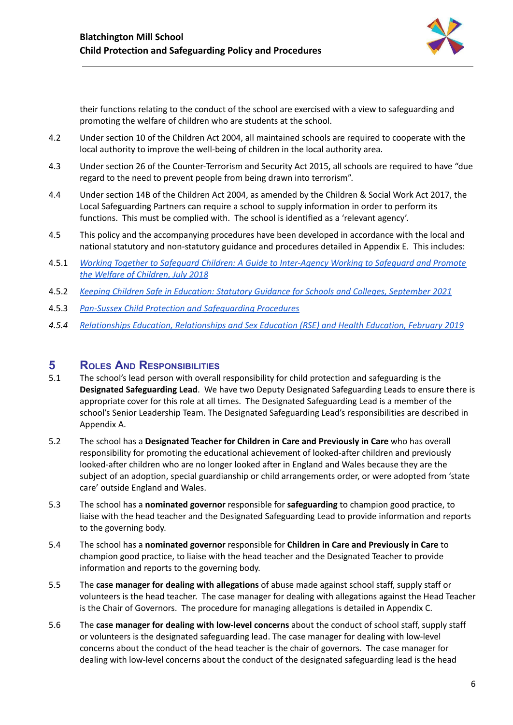

their functions relating to the conduct of the school are exercised with a view to safeguarding and promoting the welfare of children who are students at the school.

- 4.2 Under section 10 of the Children Act 2004, all maintained schools are required to cooperate with the local authority to improve the well-being of children in the local authority area.
- 4.3 Under section 26 of the Counter-Terrorism and Security Act 2015, all schools are required to have "due regard to the need to prevent people from being drawn into terrorism".
- 4.4 Under section 14B of the Children Act 2004, as amended by the Children & Social Work Act 2017, the Local Safeguarding Partners can require a school to supply information in order to perform its functions. This must be complied with. The school is identified as a 'relevant agency'.
- 4.5 This policy and the accompanying procedures have been developed in accordance with the local and national statutory and non-statutory guidance and procedures detailed in Appendix E. This includes:
- 4.5.1 *Working Together to Safeguard Children: A Guide to [Inter-Agency](https://assets.publishing.service.gov.uk/government/uploads/system/uploads/attachment_data/file/942454/Working_together_to_safeguard_children_inter_agency_guidance.pdf) Working to Safeguard and Promote the Welfare of [Children,](https://assets.publishing.service.gov.uk/government/uploads/system/uploads/attachment_data/file/942454/Working_together_to_safeguard_children_inter_agency_guidance.pdf) July 2018*
- 4.5.2 *Keeping Children Safe in Education: Statutory Guidance for Schools and Colleges, [September](https://assets.publishing.service.gov.uk/government/uploads/system/uploads/attachment_data/file/1014057/KCSIE_2021_September.pdf) 2021*
- 4.5.3 *Pan-Sussex Child Protection and [Safeguarding](https://sussexchildprotection.procedures.org.uk/) Procedures*
- *4.5.4 Relationships Education, [Relationships](https://assets.publishing.service.gov.uk/government/uploads/system/uploads/attachment_data/file/908013/Relationships_Education__Relationships_and_Sex_Education__RSE__and_Health_Education.pdf) and Sex Education (RSE) and Health Education, February 2019*

## <span id="page-6-0"></span>**5 ROLES AND RESPONSIBILITIES**

- 5.1 The school's lead person with overall responsibility for child protection and safeguarding is the **Designated Safeguarding Lead**. We have two Deputy Designated Safeguarding Leads to ensure there is appropriate cover for this role at all times. The Designated Safeguarding Lead is a member of the school's Senior Leadership Team. The Designated Safeguarding Lead's responsibilities are described in Appendix A.
- 5.2 The school has a **Designated Teacher for Children in Care and Previously in Care** who has overall responsibility for promoting the educational achievement of looked-after children and previously looked-after children who are no longer looked after in England and Wales because they are the subject of an adoption, special guardianship or child arrangements order, or were adopted from 'state care' outside England and Wales.
- 5.3 The school has a **nominated governor** responsible for **safeguarding** to champion good practice, to liaise with the head teacher and the Designated Safeguarding Lead to provide information and reports to the governing body.
- 5.4 The school has a **nominated governor** responsible for **Children in Care and Previously in Care** to champion good practice, to liaise with the head teacher and the Designated Teacher to provide information and reports to the governing body.
- 5.5 The **case manager for dealing with allegations** of abuse made against school staff, supply staff or volunteers is the head teacher. The case manager for dealing with allegations against the Head Teacher is the Chair of Governors. The procedure for managing allegations is detailed in Appendix C.
- 5.6 The **case manager for dealing with low-level concerns** about the conduct of school staff, supply staff or volunteers is the designated safeguarding lead. The case manager for dealing with low-level concerns about the conduct of the head teacher is the chair of governors. The case manager for dealing with low-level concerns about the conduct of the designated safeguarding lead is the head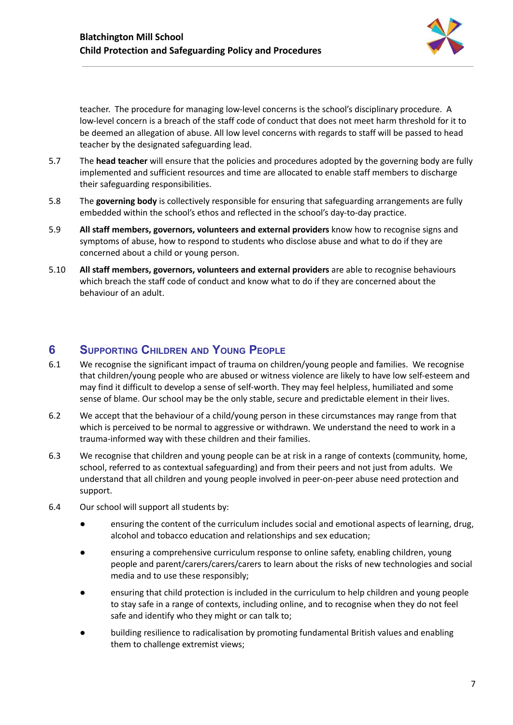

teacher. The procedure for managing low-level concerns is the school's disciplinary procedure. A low-level concern is a breach of the staff code of conduct that does not meet harm threshold for it to be deemed an allegation of abuse. All low level concerns with regards to staff will be passed to head teacher by the designated safeguarding lead.

- 5.7 The **head teacher** will ensure that the policies and procedures adopted by the governing body are fully implemented and sufficient resources and time are allocated to enable staff members to discharge their safeguarding responsibilities.
- 5.8 The **governing body** is collectively responsible for ensuring that safeguarding arrangements are fully embedded within the school's ethos and reflected in the school's day-to-day practice.
- 5.9 **All staff members, governors, volunteers and external providers** know how to recognise signs and symptoms of abuse, how to respond to students who disclose abuse and what to do if they are concerned about a child or young person.
- 5.10 **All staff members, governors, volunteers and external providers** are able to recognise behaviours which breach the staff code of conduct and know what to do if they are concerned about the behaviour of an adult.

## <span id="page-7-0"></span>**6 SUPPORTING CHILDREN AND YOUNG PEOPLE**

- 6.1 We recognise the significant impact of trauma on children/young people and families. We recognise that children/young people who are abused or witness violence are likely to have low self-esteem and may find it difficult to develop a sense of self-worth. They may feel helpless, humiliated and some sense of blame. Our school may be the only stable, secure and predictable element in their lives.
- 6.2 We accept that the behaviour of a child/young person in these circumstances may range from that which is perceived to be normal to aggressive or withdrawn. We understand the need to work in a trauma-informed way with these children and their families.
- 6.3 We recognise that children and young people can be at risk in a range of contexts (community, home, school, referred to as contextual safeguarding) and from their peers and not just from adults. We understand that all children and young people involved in peer-on-peer abuse need protection and support.
- 6.4 Our school will support all students by:
	- ensuring the content of the curriculum includes social and emotional aspects of learning, drug, alcohol and tobacco education and relationships and sex education;
	- ensuring a comprehensive curriculum response to online safety, enabling children, young people and parent/carers/carers/carers to learn about the risks of new technologies and social media and to use these responsibly;
	- ensuring that child protection is included in the curriculum to help children and young people to stay safe in a range of contexts, including online, and to recognise when they do not feel safe and identify who they might or can talk to;
	- building resilience to radicalisation by promoting fundamental British values and enabling them to challenge extremist views;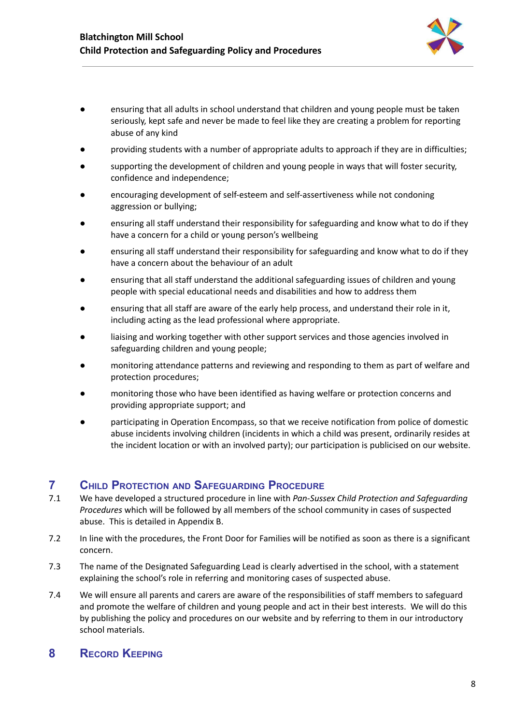

- ensuring that all adults in school understand that children and young people must be taken seriously, kept safe and never be made to feel like they are creating a problem for reporting abuse of any kind
- providing students with a number of appropriate adults to approach if they are in difficulties;
- supporting the development of children and young people in ways that will foster security, confidence and independence;
- encouraging development of self-esteem and self-assertiveness while not condoning aggression or bullying;
- ensuring all staff understand their responsibility for safeguarding and know what to do if they have a concern for a child or young person's wellbeing
- ensuring all staff understand their responsibility for safeguarding and know what to do if they have a concern about the behaviour of an adult
- ensuring that all staff understand the additional safeguarding issues of children and young people with special educational needs and disabilities and how to address them
- ensuring that all staff are aware of the early help process, and understand their role in it, including acting as the lead professional where appropriate.
- liaising and working together with other support services and those agencies involved in safeguarding children and young people;
- monitoring attendance patterns and reviewing and responding to them as part of welfare and protection procedures;
- monitoring those who have been identified as having welfare or protection concerns and providing appropriate support; and
- participating in Operation Encompass, so that we receive notification from police of domestic abuse incidents involving children (incidents in which a child was present, ordinarily resides at the incident location or with an involved party); our participation is publicised on our website.

## <span id="page-8-0"></span>**7 CHILD PROTECTION AND SAFEGUARDING PROCEDURE**

- 7.1 We have developed a structured procedure in line with *Pan-Sussex Child Protection and Safeguarding Procedures* which will be followed by all members of the school community in cases of suspected abuse. This is detailed in Appendix B.
- 7.2 In line with the procedures, the Front Door for Families will be notified as soon as there is a significant concern.
- 7.3 The name of the Designated Safeguarding Lead is clearly advertised in the school, with a statement explaining the school's role in referring and monitoring cases of suspected abuse.
- 7.4 We will ensure all parents and carers are aware of the responsibilities of staff members to safeguard and promote the welfare of children and young people and act in their best interests. We will do this by publishing the policy and procedures on our website and by referring to them in our introductory school materials.

## <span id="page-8-1"></span>**8 RECORD KEEPING**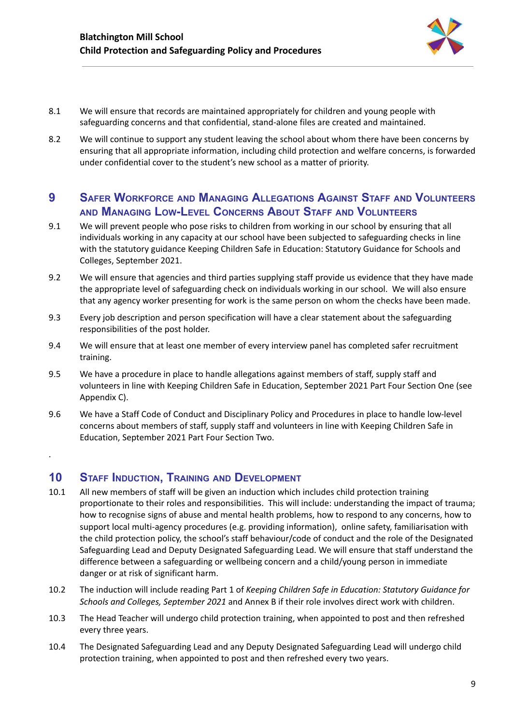

- 8.1 We will ensure that records are maintained appropriately for children and young people with safeguarding concerns and that confidential, stand-alone files are created and maintained.
- 8.2 We will continue to support any student leaving the school about whom there have been concerns by ensuring that all appropriate information, including child protection and welfare concerns, is forwarded under confidential cover to the student's new school as a matter of priority.

## <span id="page-9-0"></span>**9 SAFER WORKFORCE AND MANAGING ALLEGATIONS AGAINST STAFF AND VOLUNTEERS AND MANAGING LOW-LEVEL CONCERNS ABOUT STAFF AND VOLUNTEERS**

- 9.1 We will prevent people who pose risks to children from working in our school by ensuring that all individuals working in any capacity at our school have been subjected to safeguarding checks in line with the statutory guidance Keeping Children Safe in Education: Statutory Guidance for Schools and Colleges, September 2021.
- 9.2 We will ensure that agencies and third parties supplying staff provide us evidence that they have made the appropriate level of safeguarding check on individuals working in our school. We will also ensure that any agency worker presenting for work is the same person on whom the checks have been made.
- 9.3 Every job description and person specification will have a clear statement about the safeguarding responsibilities of the post holder.
- 9.4 We will ensure that at least one member of every interview panel has completed safer recruitment training.
- 9.5 We have a procedure in place to handle allegations against members of staff, supply staff and volunteers in line with Keeping Children Safe in Education, September 2021 Part Four Section One (see Appendix C).
- 9.6 We have a Staff Code of Conduct and Disciplinary Policy and Procedures in place to handle low-level concerns about members of staff, supply staff and volunteers in line with Keeping Children Safe in Education, September 2021 Part Four Section Two.

## <span id="page-9-1"></span>**10 STAFF INDUCTION, TRAINING AND DEVELOPMENT**

.

- 10.1 All new members of staff will be given an induction which includes child protection training proportionate to their roles and responsibilities. This will include: understanding the impact of trauma; how to recognise signs of abuse and mental health problems, how to respond to any concerns, how to support local multi-agency procedures (e.g. providing information), online safety, familiarisation with the child protection policy, the school's staff behaviour/code of conduct and the role of the Designated Safeguarding Lead and Deputy Designated Safeguarding Lead. We will ensure that staff understand the difference between a safeguarding or wellbeing concern and a child/young person in immediate danger or at risk of significant harm.
- 10.2 The induction will include reading Part 1 of *Keeping Children Safe in Education: Statutory Guidance for Schools and Colleges, September 2021* and Annex B if their role involves direct work with children.
- 10.3 The Head Teacher will undergo child protection training, when appointed to post and then refreshed every three years.
- 10.4 The Designated Safeguarding Lead and any Deputy Designated Safeguarding Lead will undergo child protection training, when appointed to post and then refreshed every two years.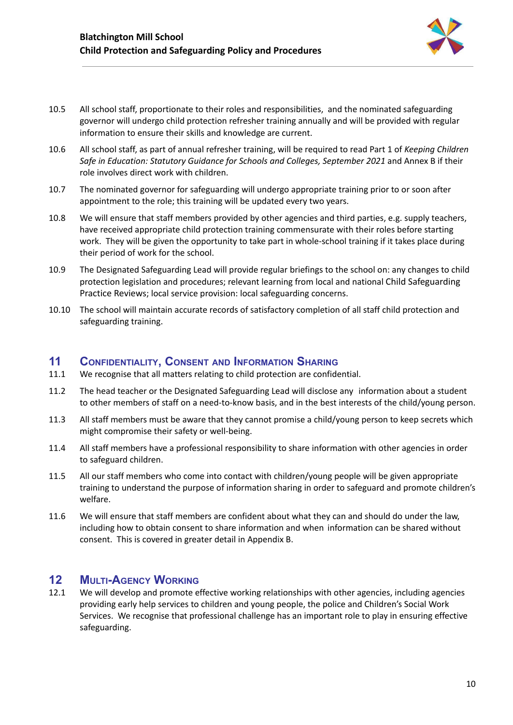

- 10.5 All school staff, proportionate to their roles and responsibilities, and the nominated safeguarding governor will undergo child protection refresher training annually and will be provided with regular information to ensure their skills and knowledge are current.
- 10.6 All school staff, as part of annual refresher training, will be required to read Part 1 of *Keeping Children Safe in Education: Statutory Guidance for Schools and Colleges, September 2021* and Annex B if their role involves direct work with children.
- 10.7 The nominated governor for safeguarding will undergo appropriate training prior to or soon after appointment to the role; this training will be updated every two years.
- 10.8 We will ensure that staff members provided by other agencies and third parties, e.g. supply teachers, have received appropriate child protection training commensurate with their roles before starting work. They will be given the opportunity to take part in whole-school training if it takes place during their period of work for the school.
- 10.9 The Designated Safeguarding Lead will provide regular briefings to the school on: any changes to child protection legislation and procedures; relevant learning from local and national Child Safeguarding Practice Reviews; local service provision: local safeguarding concerns.
- 10.10 The school will maintain accurate records of satisfactory completion of all staff child protection and safeguarding training.

### <span id="page-10-0"></span>**11 CONFIDENTIALITY, CONSENT AND INFORMATION SHARING**

- 11.1 We recognise that all matters relating to child protection are confidential.
- 11.2 The head teacher or the Designated Safeguarding Lead will disclose any information about a student to other members of staff on a need-to-know basis, and in the best interests of the child/young person.
- 11.3 All staff members must be aware that they cannot promise a child/young person to keep secrets which might compromise their safety or well-being.
- 11.4 All staff members have a professional responsibility to share information with other agencies in order to safeguard children.
- 11.5 All our staff members who come into contact with children/young people will be given appropriate training to understand the purpose of information sharing in order to safeguard and promote children's welfare.
- 11.6 We will ensure that staff members are confident about what they can and should do under the law, including how to obtain consent to share information and when information can be shared without consent. This is covered in greater detail in Appendix B.

## <span id="page-10-1"></span>**12 MULTI-AGENCY WORKING**

12.1 We will develop and promote effective working relationships with other agencies, including agencies providing early help services to children and young people, the police and Children's Social Work Services. We recognise that professional challenge has an important role to play in ensuring effective safeguarding.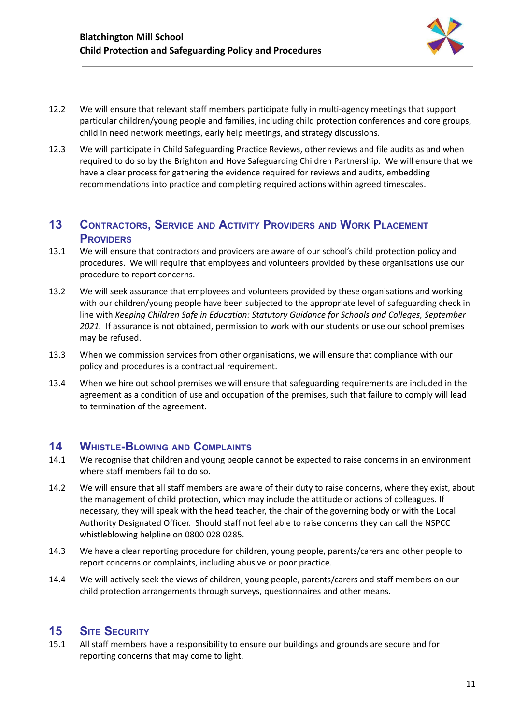

- 12.2 We will ensure that relevant staff members participate fully in multi-agency meetings that support particular children/young people and families, including child protection conferences and core groups, child in need network meetings, early help meetings, and strategy discussions.
- 12.3 We will participate in Child Safeguarding Practice Reviews, other reviews and file audits as and when required to do so by the Brighton and Hove Safeguarding Children Partnership. We will ensure that we have a clear process for gathering the evidence required for reviews and audits, embedding recommendations into practice and completing required actions within agreed timescales.

## <span id="page-11-0"></span>**13 CONTRACTORS, SERVICE AND ACTIVITY PROVIDERS AND WORK PLACEMENT PROVIDERS**

- 13.1 We will ensure that contractors and providers are aware of our school's child protection policy and procedures. We will require that employees and volunteers provided by these organisations use our procedure to report concerns.
- 13.2 We will seek assurance that employees and volunteers provided by these organisations and working with our children/young people have been subjected to the appropriate level of safeguarding check in line with *Keeping Children Safe in Education: Statutory Guidance for Schools and Colleges, September 2021.* If assurance is not obtained, permission to work with our students or use our school premises may be refused.
- 13.3 When we commission services from other organisations, we will ensure that compliance with our policy and procedures is a contractual requirement.
- 13.4 When we hire out school premises we will ensure that safeguarding requirements are included in the agreement as a condition of use and occupation of the premises, such that failure to comply will lead to termination of the agreement.

## <span id="page-11-1"></span>**14 WHISTLE-BLOWING AND COMPLAINTS**

- 14.1 We recognise that children and young people cannot be expected to raise concerns in an environment where staff members fail to do so.
- 14.2 We will ensure that all staff members are aware of their duty to raise concerns, where they exist, about the management of child protection, which may include the attitude or actions of colleagues. If necessary, they will speak with the head teacher, the chair of the governing body or with the Local Authority Designated Officer. Should staff not feel able to raise concerns they can call the NSPCC whistleblowing helpline on 0800 028 0285.
- 14.3 We have a clear reporting procedure for children, young people, parents/carers and other people to report concerns or complaints, including abusive or poor practice.
- 14.4 We will actively seek the views of children, young people, parents/carers and staff members on our child protection arrangements through surveys, questionnaires and other means.

## <span id="page-11-2"></span>**15 SITE SECURITY**

15.1 All staff members have a responsibility to ensure our buildings and grounds are secure and for reporting concerns that may come to light.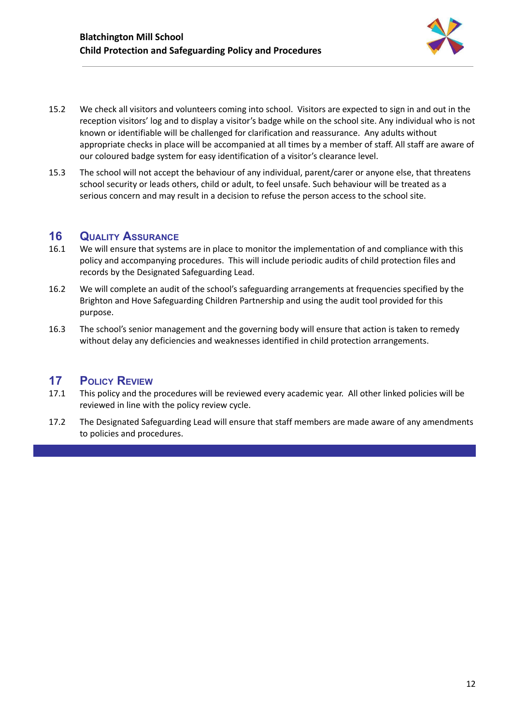

- 15.2 We check all visitors and volunteers coming into school. Visitors are expected to sign in and out in the reception visitors' log and to display a visitor's badge while on the school site. Any individual who is not known or identifiable will be challenged for clarification and reassurance. Any adults without appropriate checks in place will be accompanied at all times by a member of staff. All staff are aware of our coloured badge system for easy identification of a visitor's clearance level.
- 15.3 The school will not accept the behaviour of any individual, parent/carer or anyone else, that threatens school security or leads others, child or adult, to feel unsafe. Such behaviour will be treated as a serious concern and may result in a decision to refuse the person access to the school site.

## <span id="page-12-0"></span>**16 QUALITY ASSURANCE**

- 16.1 We will ensure that systems are in place to monitor the implementation of and compliance with this policy and accompanying procedures. This will include periodic audits of child protection files and records by the Designated Safeguarding Lead.
- 16.2 We will complete an audit of the school's safeguarding arrangements at frequencies specified by the Brighton and Hove Safeguarding Children Partnership and using the audit tool provided for this purpose.
- 16.3 The school's senior management and the governing body will ensure that action is taken to remedy without delay any deficiencies and weaknesses identified in child protection arrangements.

## <span id="page-12-1"></span>**17 POLICY REVIEW**

- 17.1 This policy and the procedures will be reviewed every academic year. All other linked policies will be reviewed in line with the policy review cycle.
- 17.2 The Designated Safeguarding Lead will ensure that staff members are made aware of any amendments to policies and procedures.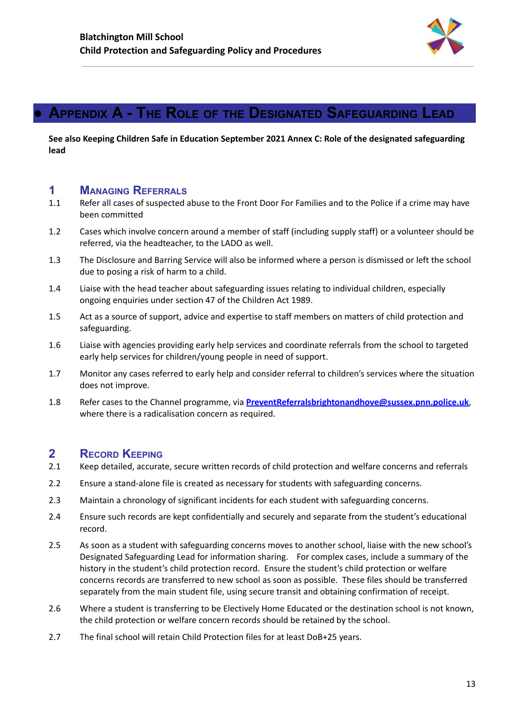

## <span id="page-13-0"></span>**● APPENDIX A - THE ROLE OF THE DESIGNATED SAFEGUARDING LEAD**

**See also Keeping Children Safe in Education September 2021 Annex C: Role of the designated safeguarding lead**

### <span id="page-13-1"></span>**1 MANAGING REFERRALS**

- 1.1 Refer all cases of suspected abuse to the Front Door For Families and to the Police if a crime may have been committed
- 1.2 Cases which involve concern around a member of staff (including supply staff) or a volunteer should be referred, via the headteacher, to the LADO as well.
- 1.3 The Disclosure and Barring Service will also be informed where a person is dismissed or left the school due to posing a risk of harm to a child.
- 1.4 Liaise with the head teacher about safeguarding issues relating to individual children, especially ongoing enquiries under section 47 of the Children Act 1989.
- 1.5 Act as a source of support, advice and expertise to staff members on matters of child protection and safeguarding.
- 1.6 Liaise with agencies providing early help services and coordinate referrals from the school to targeted early help services for children/young people in need of support.
- 1.7 Monitor any cases referred to early help and consider referral to children's services where the situation does not improve.
- 1.8 Refer cases to the Channel programme, via **[PreventReferralsbrightonandhove@sussex.pnn.police.uk](mailto:PreventReferralsbrightonandhove@sussex.pnn.police.uk)**, where there is a radicalisation concern as required.

### <span id="page-13-2"></span>**2 RECORD KEEPING**

- 2.1 Keep detailed, accurate, secure written records of child protection and welfare concerns and referrals
- 2.2 Ensure a stand-alone file is created as necessary for students with safeguarding concerns.
- 2.3 Maintain a chronology of significant incidents for each student with safeguarding concerns.
- 2.4 Ensure such records are kept confidentially and securely and separate from the student's educational record.
- 2.5 As soon as a student with safeguarding concerns moves to another school, liaise with the new school's Designated Safeguarding Lead for information sharing. For complex cases, include a summary of the history in the student's child protection record. Ensure the student's child protection or welfare concerns records are transferred to new school as soon as possible. These files should be transferred separately from the main student file, using secure transit and obtaining confirmation of receipt.
- 2.6 Where a student is transferring to be Electively Home Educated or the destination school is not known, the child protection or welfare concern records should be retained by the school.
- 2.7 The final school will retain Child Protection files for at least DoB+25 years.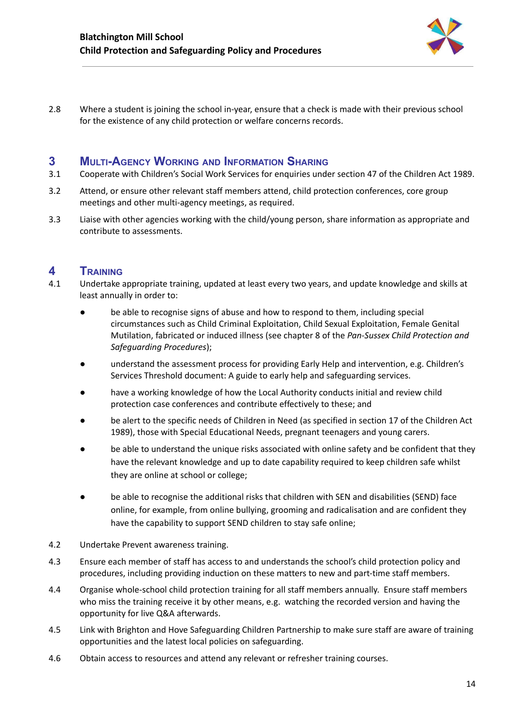

2.8 Where a student is joining the school in-year, ensure that a check is made with their previous school for the existence of any child protection or welfare concerns records.

## <span id="page-14-0"></span>**3 MULTI-AGENCY WORKING AND INFORMATION SHARING**

- 3.1 Cooperate with Children's Social Work Services for enquiries under section 47 of the Children Act 1989.
- 3.2 Attend, or ensure other relevant staff members attend, child protection conferences, core group meetings and other multi-agency meetings, as required.
- 3.3 Liaise with other agencies working with the child/young person, share information as appropriate and contribute to assessments.

## <span id="page-14-1"></span>**4 TRAINING**

- 4.1 Undertake appropriate training, updated at least every two years, and update knowledge and skills at least annually in order to:
	- be able to recognise signs of abuse and how to respond to them, including special circumstances such as Child Criminal Exploitation, Child Sexual Exploitation, Female Genital Mutilation, fabricated or induced illness (see chapter 8 of the *Pan-Sussex Child Protection and Safeguarding Procedures*);
	- understand the assessment process for providing Early Help and intervention, e.g. Children's Services Threshold document: A guide to early help and safeguarding services.
	- have a working knowledge of how the Local Authority conducts initial and review child protection case conferences and contribute effectively to these; and
	- be alert to the specific needs of Children in Need (as specified in section 17 of the Children Act 1989), those with Special Educational Needs, pregnant teenagers and young carers.
	- be able to understand the unique risks associated with online safety and be confident that they have the relevant knowledge and up to date capability required to keep children safe whilst they are online at school or college;
	- be able to recognise the additional risks that children with SEN and disabilities (SEND) face online, for example, from online bullying, grooming and radicalisation and are confident they have the capability to support SEND children to stay safe online;
- 4.2 Undertake Prevent awareness training.
- 4.3 Ensure each member of staff has access to and understands the school's child protection policy and procedures, including providing induction on these matters to new and part-time staff members.
- 4.4 Organise whole-school child protection training for all staff members annually. Ensure staff members who miss the training receive it by other means, e.g. watching the recorded version and having the opportunity for live Q&A afterwards.
- 4.5 Link with Brighton and Hove Safeguarding Children Partnership to make sure staff are aware of training opportunities and the latest local policies on safeguarding.
- 4.6 Obtain access to resources and attend any relevant or refresher training courses.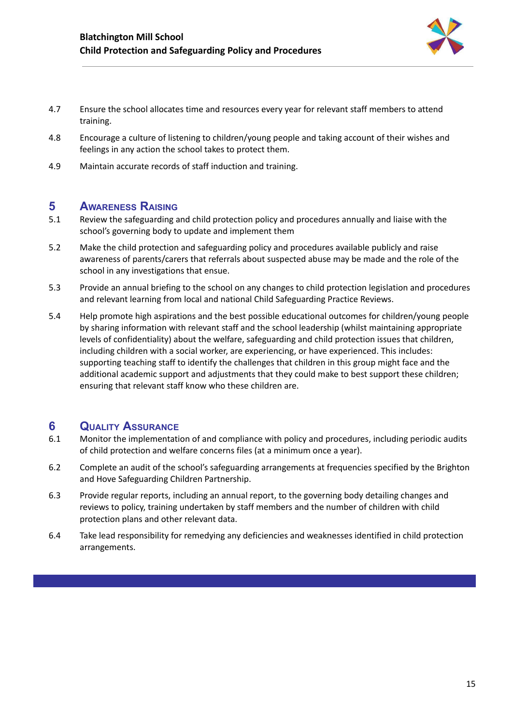

- 4.7 Ensure the school allocates time and resources every year for relevant staff members to attend training.
- 4.8 Encourage a culture of listening to children/young people and taking account of their wishes and feelings in any action the school takes to protect them.
- 4.9 Maintain accurate records of staff induction and training.

## <span id="page-15-0"></span>**5 AWARENESS RAISING**

- 5.1 Review the safeguarding and child protection policy and procedures annually and liaise with the school's governing body to update and implement them
- 5.2 Make the child protection and safeguarding policy and procedures available publicly and raise awareness of parents/carers that referrals about suspected abuse may be made and the role of the school in any investigations that ensue.
- 5.3 Provide an annual briefing to the school on any changes to child protection legislation and procedures and relevant learning from local and national Child Safeguarding Practice Reviews.
- 5.4 Help promote high aspirations and the best possible educational outcomes for children/young people by sharing information with relevant staff and the school leadership (whilst maintaining appropriate levels of confidentiality) about the welfare, safeguarding and child protection issues that children, including children with a social worker, are experiencing, or have experienced. This includes: supporting teaching staff to identify the challenges that children in this group might face and the additional academic support and adjustments that they could make to best support these children; ensuring that relevant staff know who these children are.

## <span id="page-15-1"></span>**6 QUALITY ASSURANCE**

- 6.1 Monitor the implementation of and compliance with policy and procedures, including periodic audits of child protection and welfare concerns files (at a minimum once a year).
- 6.2 Complete an audit of the school's safeguarding arrangements at frequencies specified by the Brighton and Hove Safeguarding Children Partnership.
- 6.3 Provide regular reports, including an annual report, to the governing body detailing changes and reviews to policy, training undertaken by staff members and the number of children with child protection plans and other relevant data.
- 6.4 Take lead responsibility for remedying any deficiencies and weaknesses identified in child protection arrangements.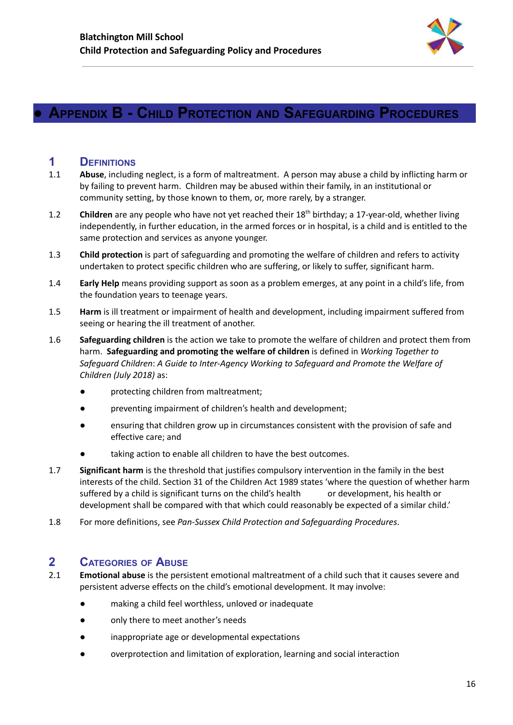

## <span id="page-16-0"></span>**● APPENDIX B - CHILD PROTECTION AND SAFEGUARDING PROCEDURES**

## <span id="page-16-1"></span>**1 DEFINITIONS**

- 1.1 **Abuse**, including neglect, is a form of maltreatment. A person may abuse a child by inflicting harm or by failing to prevent harm. Children may be abused within their family, in an institutional or community setting, by those known to them, or, more rarely, by a stranger.
- 1.2 Children are any people who have not yet reached their 18<sup>th</sup> birthday; a 17-year-old, whether living independently, in further education, in the armed forces or in hospital, is a child and is entitled to the same protection and services as anyone younger.
- 1.3 **Child protection** is part of safeguarding and promoting the welfare of children and refers to activity undertaken to protect specific children who are suffering, or likely to suffer, significant harm.
- 1.4 **Early Help** means providing support as soon as a problem emerges, at any point in a child's life, from the foundation years to teenage years.
- 1.5 **Harm** is ill treatment or impairment of health and development, including impairment suffered from seeing or hearing the ill treatment of another.
- 1.6 **Safeguarding children** is the action we take to promote the welfare of children and protect them from harm. **Safeguarding and promoting the welfare of children** is defined in *Working Together to Safeguard Children*: *A Guide to Inter-Agency Working to Safeguard and Promote the Welfare of Children (July 2018)* as:
	- protecting children from maltreatment;
	- preventing impairment of children's health and development;
	- ensuring that children grow up in circumstances consistent with the provision of safe and effective care; and
	- taking action to enable all children to have the best outcomes.
- 1.7 **Significant harm** is the threshold that justifies compulsory intervention in the family in the best interests of the child. Section 31 of the Children Act 1989 states 'where the question of whether harm suffered by a child is significant turns on the child's health or development, his health or development shall be compared with that which could reasonably be expected of a similar child.'
- 1.8 For more definitions, see *Pan-Sussex Child Protection and Safeguarding Procedures*.

## <span id="page-16-2"></span>**2 CATEGORIES OF ABUSE**

- 2.1 **Emotional abuse** is the persistent emotional maltreatment of a child such that it causes severe and persistent adverse effects on the child's emotional development. It may involve:
	- making a child feel worthless, unloved or inadequate
	- only there to meet another's needs
	- inappropriate age or developmental expectations
	- overprotection and limitation of exploration, learning and social interaction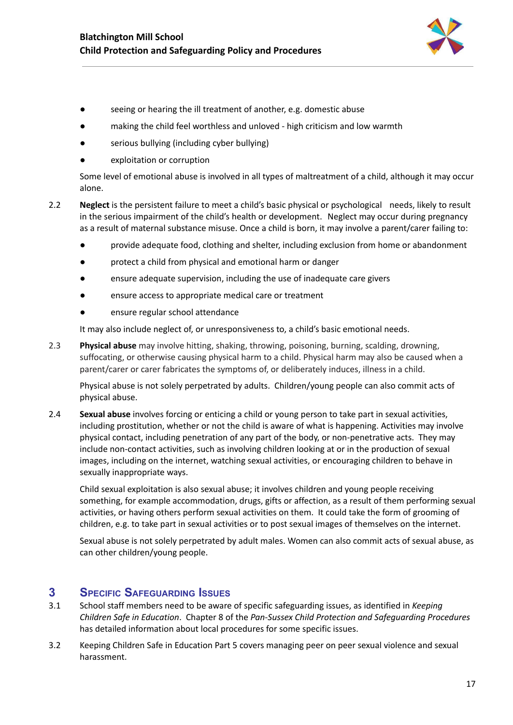

- seeing or hearing the ill treatment of another, e.g. domestic abuse
- making the child feel worthless and unloved high criticism and low warmth
- serious bullying (including cyber bullying)
- exploitation or corruption

Some level of emotional abuse is involved in all types of maltreatment of a child, although it may occur alone.

- 2.2 **Neglect** is the persistent failure to meet a child's basic physical or psychological needs, likely to result in the serious impairment of the child's health or development. Neglect may occur during pregnancy as a result of maternal substance misuse. Once a child is born, it may involve a parent/carer failing to:
	- provide adequate food, clothing and shelter, including exclusion from home or abandonment
	- protect a child from physical and emotional harm or danger
	- ensure adequate supervision, including the use of inadequate care givers
	- ensure access to appropriate medical care or treatment
	- ensure regular school attendance

It may also include neglect of, or unresponsiveness to, a child's basic emotional needs.

2.3 **Physical abuse** may involve hitting, shaking, throwing, poisoning, burning, scalding, drowning, suffocating, or otherwise causing physical harm to a child. Physical harm may also be caused when a parent/carer or carer fabricates the symptoms of, or deliberately induces, illness in a child.

Physical abuse is not solely perpetrated by adults. Children/young people can also commit acts of physical abuse.

2.4 **Sexual abuse** involves forcing or enticing a child or young person to take part in sexual activities, including prostitution, whether or not the child is aware of what is happening. Activities may involve physical contact, including penetration of any part of the body, or non-penetrative acts. They may include non-contact activities, such as involving children looking at or in the production of sexual images, including on the internet, watching sexual activities, or encouraging children to behave in sexually inappropriate ways.

Child sexual exploitation is also sexual abuse; it involves children and young people receiving something, for example accommodation, drugs, gifts or affection, as a result of them performing sexual activities, or having others perform sexual activities on them. It could take the form of grooming of children, e.g. to take part in sexual activities or to post sexual images of themselves on the internet.

Sexual abuse is not solely perpetrated by adult males. Women can also commit acts of sexual abuse, as can other children/young people.

### <span id="page-17-0"></span>**3 SPECIFIC SAFEGUARDING ISSUES**

- 3.1 School staff members need to be aware of specific safeguarding issues, as identified in *Keeping Children Safe in Education*. Chapter 8 of the *Pan-Sussex Child Protection and Safeguarding Procedures* has detailed information about local procedures for some specific issues.
- 3.2 Keeping Children Safe in Education Part 5 covers managing peer on peer sexual violence and sexual harassment.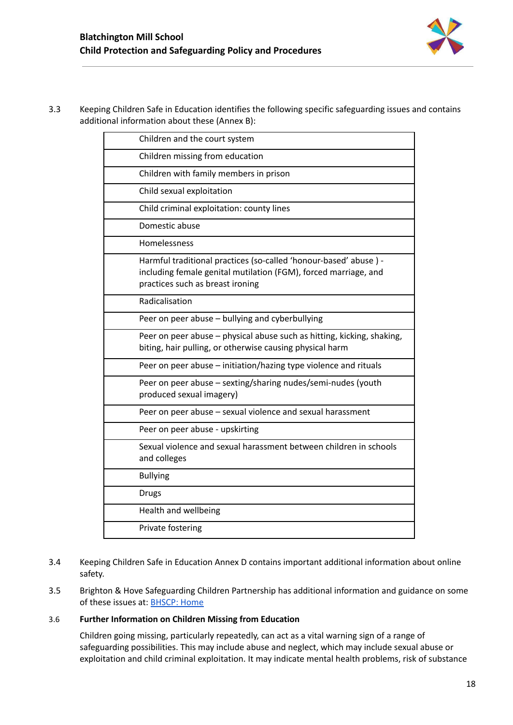3.3 Keeping Children Safe in Education identifies the following specific safeguarding issues and contains additional information about these (Annex B):

| Children and the court system                                                                                                                                           |
|-------------------------------------------------------------------------------------------------------------------------------------------------------------------------|
| Children missing from education                                                                                                                                         |
| Children with family members in prison                                                                                                                                  |
| Child sexual exploitation                                                                                                                                               |
| Child criminal exploitation: county lines                                                                                                                               |
| Domestic abuse                                                                                                                                                          |
| Homelessness                                                                                                                                                            |
| Harmful traditional practices (so-called 'honour-based' abuse) -<br>including female genital mutilation (FGM), forced marriage, and<br>practices such as breast ironing |
| Radicalisation                                                                                                                                                          |
| Peer on peer abuse - bullying and cyberbullying                                                                                                                         |
| Peer on peer abuse - physical abuse such as hitting, kicking, shaking,<br>biting, hair pulling, or otherwise causing physical harm                                      |
| Peer on peer abuse - initiation/hazing type violence and rituals                                                                                                        |
| Peer on peer abuse - sexting/sharing nudes/semi-nudes (youth<br>produced sexual imagery)                                                                                |
| Peer on peer abuse - sexual violence and sexual harassment                                                                                                              |
| Peer on peer abuse - upskirting                                                                                                                                         |
| Sexual violence and sexual harassment between children in schools<br>and colleges                                                                                       |
| <b>Bullying</b>                                                                                                                                                         |
| <b>Drugs</b>                                                                                                                                                            |
| Health and wellbeing                                                                                                                                                    |
| Private fostering                                                                                                                                                       |

- 3.4 Keeping Children Safe in Education Annex D contains important additional information about online safety.
- 3.5 Brighton & Hove Safeguarding Children Partnership has additional information and guidance on some of these issues at: **[BHSCP:](https://www.bhscp.org.uk/) Home**

#### 3.6 **Further Information on Children Missing from Education**

Children going missing, particularly repeatedly, can act as a vital warning sign of a range of safeguarding possibilities. This may include abuse and neglect, which may include sexual abuse or exploitation and child criminal exploitation. It may indicate mental health problems, risk of substance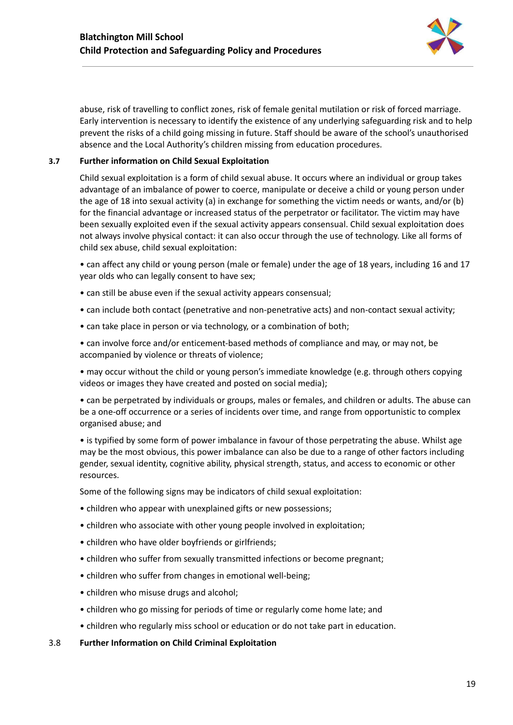

abuse, risk of travelling to conflict zones, risk of female genital mutilation or risk of forced marriage. Early intervention is necessary to identify the existence of any underlying safeguarding risk and to help prevent the risks of a child going missing in future. Staff should be aware of the school's unauthorised absence and the Local Authority's children missing from education procedures.

#### **3.7 Further information on Child Sexual Exploitation**

Child sexual exploitation is a form of child sexual abuse. It occurs where an individual or group takes advantage of an imbalance of power to coerce, manipulate or deceive a child or young person under the age of 18 into sexual activity (a) in exchange for something the victim needs or wants, and/or (b) for the financial advantage or increased status of the perpetrator or facilitator. The victim may have been sexually exploited even if the sexual activity appears consensual. Child sexual exploitation does not always involve physical contact: it can also occur through the use of technology. Like all forms of child sex abuse, child sexual exploitation:

• can affect any child or young person (male or female) under the age of 18 years, including 16 and 17 year olds who can legally consent to have sex;

- can still be abuse even if the sexual activity appears consensual;
- can include both contact (penetrative and non-penetrative acts) and non-contact sexual activity;
- can take place in person or via technology, or a combination of both;
- can involve force and/or enticement-based methods of compliance and may, or may not, be accompanied by violence or threats of violence;

• may occur without the child or young person's immediate knowledge (e.g. through others copying videos or images they have created and posted on social media);

• can be perpetrated by individuals or groups, males or females, and children or adults. The abuse can be a one-off occurrence or a series of incidents over time, and range from opportunistic to complex organised abuse; and

• is typified by some form of power imbalance in favour of those perpetrating the abuse. Whilst age may be the most obvious, this power imbalance can also be due to a range of other factors including gender, sexual identity, cognitive ability, physical strength, status, and access to economic or other resources.

Some of the following signs may be indicators of child sexual exploitation:

- children who appear with unexplained gifts or new possessions;
- children who associate with other young people involved in exploitation;
- children who have older boyfriends or girlfriends;
- children who suffer from sexually transmitted infections or become pregnant;
- children who suffer from changes in emotional well-being;
- children who misuse drugs and alcohol;
- children who go missing for periods of time or regularly come home late; and
- children who regularly miss school or education or do not take part in education.
- 3.8 **Further Information on Child Criminal Exploitation**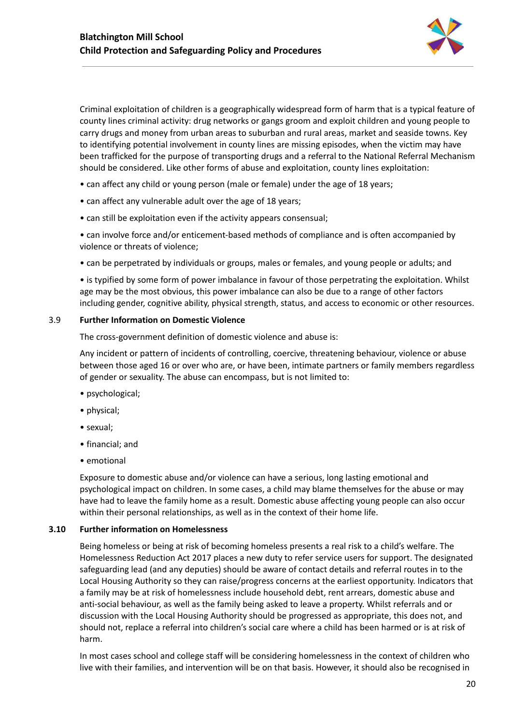

Criminal exploitation of children is a geographically widespread form of harm that is a typical feature of county lines criminal activity: drug networks or gangs groom and exploit children and young people to carry drugs and money from urban areas to suburban and rural areas, market and seaside towns. Key to identifying potential involvement in county lines are missing episodes, when the victim may have been trafficked for the purpose of transporting drugs and a referral to the National Referral Mechanism should be considered. Like other forms of abuse and exploitation, county lines exploitation:

- can affect any child or young person (male or female) under the age of 18 years;
- can affect any vulnerable adult over the age of 18 years;
- can still be exploitation even if the activity appears consensual;

• can involve force and/or enticement-based methods of compliance and is often accompanied by violence or threats of violence;

• can be perpetrated by individuals or groups, males or females, and young people or adults; and

• is typified by some form of power imbalance in favour of those perpetrating the exploitation. Whilst age may be the most obvious, this power imbalance can also be due to a range of other factors including gender, cognitive ability, physical strength, status, and access to economic or other resources.

#### 3.9 **Further Information on Domestic Violence**

The cross-government definition of domestic violence and abuse is:

Any incident or pattern of incidents of controlling, coercive, threatening behaviour, violence or abuse between those aged 16 or over who are, or have been, intimate partners or family members regardless of gender or sexuality. The abuse can encompass, but is not limited to:

- psychological;
- physical;
- sexual;
- financial; and
- emotional

Exposure to domestic abuse and/or violence can have a serious, long lasting emotional and psychological impact on children. In some cases, a child may blame themselves for the abuse or may have had to leave the family home as a result. Domestic abuse affecting young people can also occur within their personal relationships, as well as in the context of their home life.

#### **3.10 Further information on Homelessness**

Being homeless or being at risk of becoming homeless presents a real risk to a child's welfare. The Homelessness Reduction Act 2017 places a new duty to refer service users for support. The designated safeguarding lead (and any deputies) should be aware of contact details and referral routes in to the Local Housing Authority so they can raise/progress concerns at the earliest opportunity. Indicators that a family may be at risk of homelessness include household debt, rent arrears, domestic abuse and anti-social behaviour, as well as the family being asked to leave a property. Whilst referrals and or discussion with the Local Housing Authority should be progressed as appropriate, this does not, and should not, replace a referral into children's social care where a child has been harmed or is at risk of harm.

In most cases school and college staff will be considering homelessness in the context of children who live with their families, and intervention will be on that basis. However, it should also be recognised in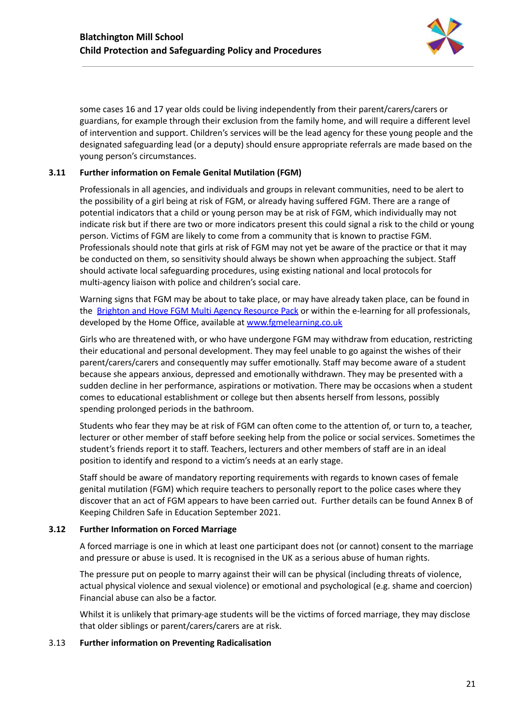

some cases 16 and 17 year olds could be living independently from their parent/carers/carers or guardians, for example through their exclusion from the family home, and will require a different level of intervention and support. Children's services will be the lead agency for these young people and the designated safeguarding lead (or a deputy) should ensure appropriate referrals are made based on the young person's circumstances.

#### **3.11 Further information on Female Genital Mutilation (FGM)**

Professionals in all agencies, and individuals and groups in relevant communities, need to be alert to the possibility of a girl being at risk of FGM, or already having suffered FGM. There are a range of potential indicators that a child or young person may be at risk of FGM, which individually may not indicate risk but if there are two or more indicators present this could signal a risk to the child or young person. Victims of FGM are likely to come from a community that is known to practise FGM. Professionals should note that girls at risk of FGM may not yet be aware of the practice or that it may be conducted on them, so sensitivity should always be shown when approaching the subject. Staff should activate local safeguarding procedures, using existing national and local protocols for multi-agency liaison with police and children's social care.

Warning signs that FGM may be about to take place, or may have already taken place, can be found in the Brighton and Hove FGM Multi Agency [Resource](http://brightonandhovelscb.org.uk/wp-content/uploads/LSCB-VAWG-FGM-Resource-Pack-FINAL.pdf) Pack or within the e-learning for all professionals, developed by the Home Office, available at [www.fgmelearning.co.uk](http://www.fgmelearning.co.uk)

Girls who are threatened with, or who have undergone FGM may withdraw from education, restricting their educational and personal development. They may feel unable to go against the wishes of their parent/carers/carers and consequently may suffer emotionally. Staff may become aware of a student because she appears anxious, depressed and emotionally withdrawn. They may be presented with a sudden decline in her performance, aspirations or motivation. There may be occasions when a student comes to educational establishment or college but then absents herself from lessons, possibly spending prolonged periods in the bathroom.

Students who fear they may be at risk of FGM can often come to the attention of, or turn to, a teacher, lecturer or other member of staff before seeking help from the police or social services. Sometimes the student's friends report it to staff. Teachers, lecturers and other members of staff are in an ideal position to identify and respond to a victim's needs at an early stage.

Staff should be aware of mandatory reporting requirements with regards to known cases of female genital mutilation (FGM) which require teachers to personally report to the police cases where they discover that an act of FGM appears to have been carried out. Further details can be found Annex B of Keeping Children Safe in Education September 2021.

#### **3.12 Further Information on Forced Marriage**

A forced marriage is one in which at least one participant does not (or cannot) consent to the marriage and pressure or abuse is used. It is recognised in the UK as a serious abuse of human rights.

The pressure put on people to marry against their will can be physical (including threats of violence, actual physical violence and sexual violence) or emotional and psychological (e.g. shame and coercion) Financial abuse can also be a factor.

Whilst it is unlikely that primary-age students will be the victims of forced marriage, they may disclose that older siblings or parent/carers/carers are at risk.

#### 3.13 **Further information on Preventing Radicalisation**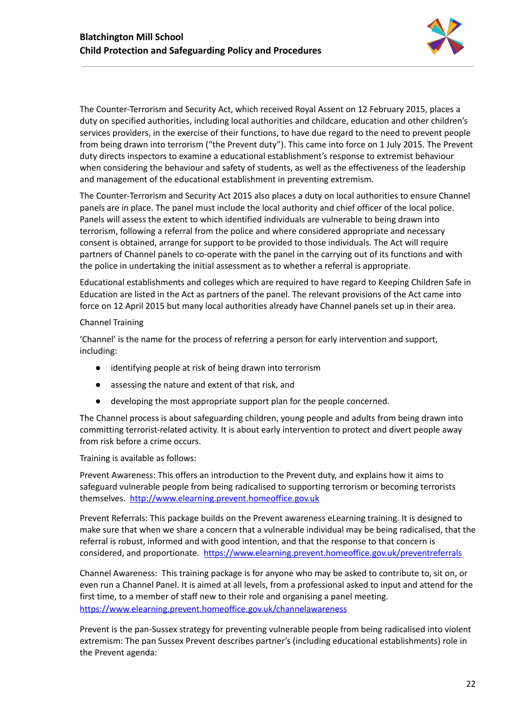

The Counter-Terrorism and Security Act, which received Royal Assent on 12 February 2015, places a duty on specified authorities, including local authorities and childcare, education and other children's services providers, in the exercise of their functions, to have due regard to the need to prevent people from being drawn into terrorism ("the Prevent duty"). This came into force on 1 July 2015. The Prevent duty directs inspectors to examine a educational establishment's response to extremist behaviour when considering the behaviour and safety of students, as well as the effectiveness of the leadership and management of the educational establishment in preventing extremism.

The Counter-Terrorism and Security Act 2015 also places a duty on local authorities to ensure Channel panels are in place. The panel must include the local authority and chief officer of the local police. Panels will assess the extent to which identified individuals are vulnerable to being drawn into terrorism, following a referral from the police and where considered appropriate and necessary consent is obtained, arrange for support to be provided to those individuals. The Act will require partners of Channel panels to co-operate with the panel in the carrying out of its functions and with the police in undertaking the initial assessment as to whether a referral is appropriate.

Educational establishments and colleges which are required to have regard to Keeping Children Safe in Education are listed in the Act as partners of the panel. The relevant provisions of the Act came into force on 12 April 2015 but many local authorities already have Channel panels set up in their area.

#### Channel Training

'Channel' is the name for the process of referring a person for early intervention and support, including:

- identifying people at risk of being drawn into terrorism
- assessing the nature and extent of that risk, and
- developing the most appropriate support plan for the people concerned.

The Channel process is about safeguarding children, young people and adults from being drawn into committing terrorist-related activity. It is about early intervention to protect and divert people away from risk before a crime occurs.

Training is available as follows:

Prevent Awareness: This offers an introduction to the Prevent duty, and explains how it aims to safeguard vulnerable people from being radicalised to supporting terrorism or becoming terrorists themselves. [http://www.elearning.prevent.homeoffice.gov.uk](http://www.elearning.prevent.homeoffice.gov.uk/)

Prevent Referrals: This package builds on the Prevent awareness eLearning training. It is designed to make sure that when we share a concern that a vulnerable individual may be being radicalised, that the referral is robust, informed and with good intention, and that the response to that concern is considered, and proportionate. <https://www.elearning.prevent.homeoffice.gov.uk/preventreferrals>

Channel Awareness: This training package is for anyone who may be asked to contribute to, sit on, or even run a Channel Panel. It is aimed at all levels, from a professional asked to input and attend for the first time, to a member of staff new to their role and organising a panel meeting. <https://www.elearning.prevent.homeoffice.gov.uk/channelawareness>

Prevent is the pan-Sussex strategy for preventing vulnerable people from being radicalised into violent extremism: The pan Sussex Prevent describes partner's (including educational establishments) role in the Prevent agenda: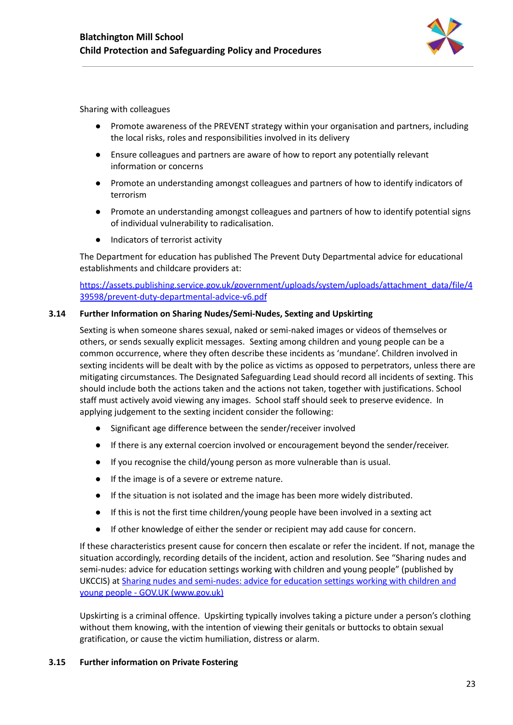

Sharing with colleagues

- Promote awareness of the PREVENT strategy within your organisation and partners, including the local risks, roles and responsibilities involved in its delivery
- Ensure colleagues and partners are aware of how to report any potentially relevant information or concerns
- Promote an understanding amongst colleagues and partners of how to identify indicators of terrorism
- Promote an understanding amongst colleagues and partners of how to identify potential signs of individual vulnerability to radicalisation.
- Indicators of terrorist activity

The Department for education has published The Prevent Duty Departmental advice for educational establishments and childcare providers at:

[https://assets.publishing.service.gov.uk/government/uploads/system/uploads/attachment\\_data/file/4](https://assets.publishing.service.gov.uk/government/uploads/system/uploads/attachment_data/file/439598/prevent-duty-departmental-advice-v6.pdf) [39598/prevent-duty-departmental-advice-v6.pdf](https://assets.publishing.service.gov.uk/government/uploads/system/uploads/attachment_data/file/439598/prevent-duty-departmental-advice-v6.pdf)

#### **3.14 Further Information on Sharing Nudes/Semi-Nudes, Sexting and Upskirting**

Sexting is when someone shares sexual, naked or semi-naked images or videos of themselves or others, or sends sexually explicit messages. Sexting among children and young people can be a common occurrence, where they often describe these incidents as 'mundane'. Children involved in sexting incidents will be dealt with by the police as victims as opposed to perpetrators, unless there are mitigating circumstances. The Designated Safeguarding Lead should record all incidents of sexting. This should include both the actions taken and the actions not taken, together with justifications. School staff must actively avoid viewing any images. School staff should seek to preserve evidence. In applying judgement to the sexting incident consider the following:

- Significant age difference between the sender/receiver involved
- If there is any external coercion involved or encouragement beyond the sender/receiver.
- If you recognise the child/young person as more vulnerable than is usual.
- If the image is of a severe or extreme nature.
- If the situation is not isolated and the image has been more widely distributed.
- If this is not the first time children/young people have been involved in a sexting act
- If other knowledge of either the sender or recipient may add cause for concern.

If these characteristics present cause for concern then escalate or refer the incident. If not, manage the situation accordingly, recording details of the incident, action and resolution. See "Sharing nudes and semi-nudes: advice for education settings working with children and young people" (published by UKCCIS) at Sharing nudes and [semi-nudes:](https://www.gov.uk/government/publications/sharing-nudes-and-semi-nudes-advice-for-education-settings-working-with-children-and-young-people) advice for education settings working with children and young people - GOV.UK [\(www.gov.uk\)](https://www.gov.uk/government/publications/sharing-nudes-and-semi-nudes-advice-for-education-settings-working-with-children-and-young-people)

Upskirting is a criminal offence. Upskirting typically involves taking a picture under a person's clothing without them knowing, with the intention of viewing their genitals or buttocks to obtain sexual gratification, or cause the victim humiliation, distress or alarm.

#### **3.15 Further information on Private Fostering**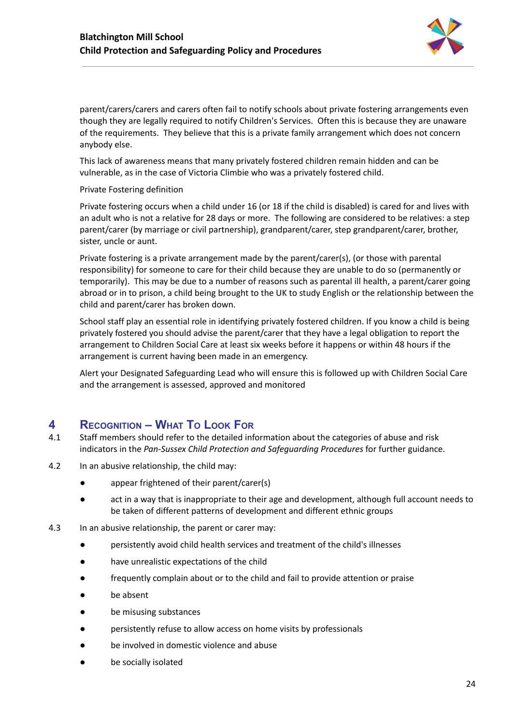

parent/carers/carers and carers often fail to notify schools about private fostering arrangements even though they are legally required to notify Children's Services. Often this is because they are unaware of the requirements. They believe that this is a private family arrangement which does not concern anybody else.

This lack of awareness means that many privately fostered children remain hidden and can be vulnerable, as in the case of Victoria Climbie who was a privately fostered child.

#### Private Fostering definition

Private fostering occurs when a child under 16 (or 18 if the child is disabled) is cared for and lives with an adult who is not a relative for 28 days or more. The following are considered to be relatives: a step parent/carer (by marriage or civil partnership), grandparent/carer, step grandparent/carer, brother, sister, uncle or aunt.

Private fostering is a private arrangement made by the parent/carer(s), (or those with parental responsibility) for someone to care for their child because they are unable to do so (permanently or temporarily). This may be due to a number of reasons such as parental ill health, a parent/carer going abroad or in to prison, a child being brought to the UK to study English or the relationship between the child and parent/carer has broken down.

School staff play an essential role in identifying privately fostered children. If you know a child is being privately fostered you should advise the parent/carer that they have a legal obligation to report the arrangement to Children Social Care at least six weeks before it happens or within 48 hours if the arrangement is current having been made in an emergency.

Alert your Designated Safeguarding Lead who will ensure this is followed up with Children Social Care and the arrangement is assessed, approved and monitored

## <span id="page-24-0"></span>**4 RECOGNITION – WHAT TO LOOK FOR**

- 4.1 Staff members should refer to the detailed information about the categories of abuse and risk indicators in the *Pan-Sussex Child Protection and Safeguarding Procedures* for further guidance.
- 4.2 In an abusive relationship, the child may:
	- appear frightened of their parent/carer(s)
	- act in a way that is inappropriate to their age and development, although full account needs to be taken of different patterns of development and different ethnic groups
- 4.3 In an abusive relationship, the parent or carer may:
	- persistently avoid child health services and treatment of the child's illnesses
	- have unrealistic expectations of the child
	- frequently complain about or to the child and fail to provide attention or praise
	- be absent
	- be misusing substances
	- persistently refuse to allow access on home visits by professionals
	- be involved in domestic violence and abuse
	- be socially isolated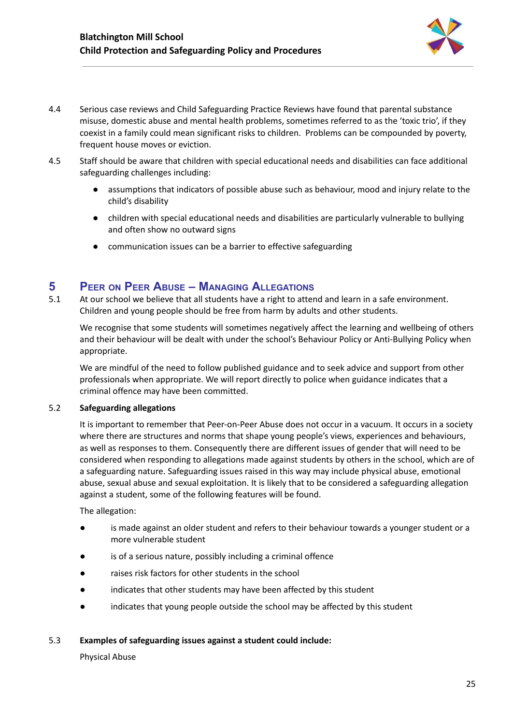

- 4.4 Serious case reviews and Child Safeguarding Practice Reviews have found that parental substance misuse, domestic abuse and mental health problems, sometimes referred to as the 'toxic trio', if they coexist in a family could mean significant risks to children. Problems can be compounded by poverty, frequent house moves or eviction.
- 4.5 Staff should be aware that children with special educational needs and disabilities can face additional safeguarding challenges including:
	- assumptions that indicators of possible abuse such as behaviour, mood and injury relate to the child's disability
	- children with special educational needs and disabilities are particularly vulnerable to bullying and often show no outward signs
	- communication issues can be a barrier to effective safeguarding

## <span id="page-25-0"></span>**5 PEER ON PEER ABUSE – MANAGING ALLEGATIONS**

5.1 At our school we believe that all students have a right to attend and learn in a safe environment. Children and young people should be free from harm by adults and other students.

We recognise that some students will sometimes negatively affect the learning and wellbeing of others and their behaviour will be dealt with under the school's Behaviour Policy or Anti-Bullying Policy when appropriate.

We are mindful of the need to follow published guidance and to seek advice and support from other professionals when appropriate. We will report directly to police when guidance indicates that a criminal offence may have been committed.

#### 5.2 **Safeguarding allegations**

It is important to remember that Peer-on-Peer Abuse does not occur in a vacuum. It occurs in a society where there are structures and norms that shape young people's views, experiences and behaviours, as well as responses to them. Consequently there are different issues of gender that will need to be considered when responding to allegations made against students by others in the school, which are of a safeguarding nature. Safeguarding issues raised in this way may include physical abuse, emotional abuse, sexual abuse and sexual exploitation. It is likely that to be considered a safeguarding allegation against a student, some of the following features will be found.

The allegation:

- is made against an older student and refers to their behaviour towards a younger student or a more vulnerable student
- is of a serious nature, possibly including a criminal offence
- raises risk factors for other students in the school
- indicates that other students may have been affected by this student
- indicates that young people outside the school may be affected by this student

#### 5.3 **Examples of safeguarding issues against a student could include:**

Physical Abuse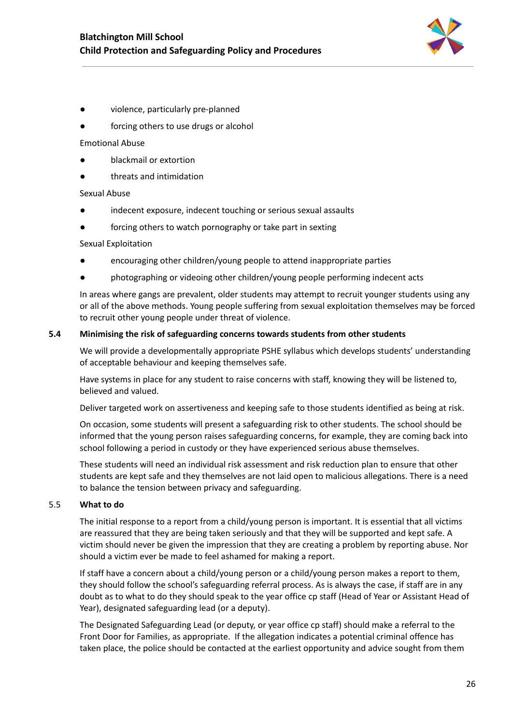

- violence, particularly pre-planned
- forcing others to use drugs or alcohol

#### Emotional Abuse

- blackmail or extortion
- threats and intimidation

#### Sexual Abuse

- indecent exposure, indecent touching or serious sexual assaults
- forcing others to watch pornography or take part in sexting

#### Sexual Exploitation

- encouraging other children/young people to attend inappropriate parties
- photographing or videoing other children/young people performing indecent acts

In areas where gangs are prevalent, older students may attempt to recruit younger students using any or all of the above methods. Young people suffering from sexual exploitation themselves may be forced to recruit other young people under threat of violence.

#### **5.4 Minimising the risk of safeguarding concerns towards students from other students**

We will provide a developmentally appropriate PSHE syllabus which develops students' understanding of acceptable behaviour and keeping themselves safe.

Have systems in place for any student to raise concerns with staff, knowing they will be listened to, believed and valued.

Deliver targeted work on assertiveness and keeping safe to those students identified as being at risk.

On occasion, some students will present a safeguarding risk to other students. The school should be informed that the young person raises safeguarding concerns, for example, they are coming back into school following a period in custody or they have experienced serious abuse themselves.

These students will need an individual risk assessment and risk reduction plan to ensure that other students are kept safe and they themselves are not laid open to malicious allegations. There is a need to balance the tension between privacy and safeguarding.

#### 5.5 **What to do**

The initial response to a report from a child/young person is important. It is essential that all victims are reassured that they are being taken seriously and that they will be supported and kept safe. A victim should never be given the impression that they are creating a problem by reporting abuse. Nor should a victim ever be made to feel ashamed for making a report.

If staff have a concern about a child/young person or a child/young person makes a report to them, they should follow the school's safeguarding referral process. As is always the case, if staff are in any doubt as to what to do they should speak to the year office cp staff (Head of Year or Assistant Head of Year), designated safeguarding lead (or a deputy).

The Designated Safeguarding Lead (or deputy, or year office cp staff) should make a referral to the Front Door for Families, as appropriate. If the allegation indicates a potential criminal offence has taken place, the police should be contacted at the earliest opportunity and advice sought from them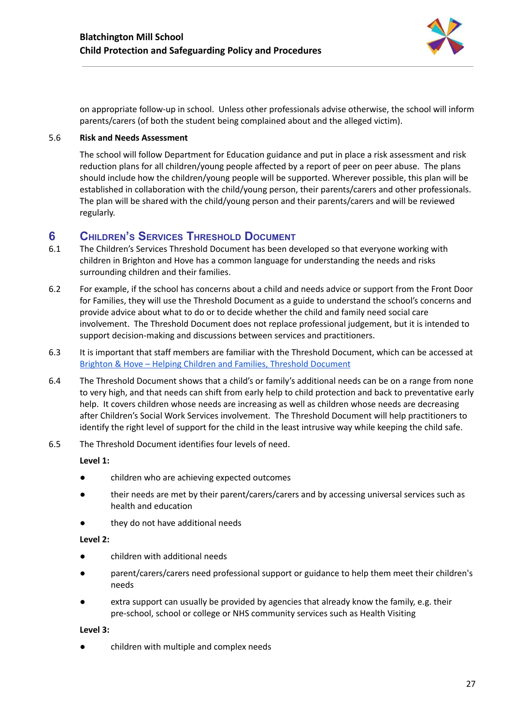

on appropriate follow-up in school. Unless other professionals advise otherwise, the school will inform parents/carers (of both the student being complained about and the alleged victim).

#### 5.6 **Risk and Needs Assessment**

The school will follow Department for Education guidance and put in place a risk assessment and risk reduction plans for all children/young people affected by a report of peer on peer abuse. The plans should include how the children/young people will be supported. Wherever possible, this plan will be established in collaboration with the child/young person, their parents/carers and other professionals. The plan will be shared with the child/young person and their parents/carers and will be reviewed regularly.

## <span id="page-27-0"></span>**6 CHILDREN'<sup>S</sup> SERVICES THRESHOLD DOCUMENT**

- 6.1 The Children's Services Threshold Document has been developed so that everyone working with children in Brighton and Hove has a common language for understanding the needs and risks surrounding children and their families.
- 6.2 For example, if the school has concerns about a child and needs advice or support from the Front Door for Families, they will use the Threshold Document as a guide to understand the school's concerns and provide advice about what to do or to decide whether the child and family need social care involvement. The Threshold Document does not replace professional judgement, but it is intended to support decision-making and discussions between services and practitioners.
- 6.3 It is important that staff members are familiar with the Threshold Document, which can be accessed at Brighton & Hove – Helping Children and Families, Threshold [Document](https://www.bhscp.org.uk/documents/brighton-hove-helping-children-and-families-threshold-document/)
- 6.4 The Threshold Document shows that a child's or family's additional needs can be on a range from none to very high, and that needs can shift from early help to child protection and back to preventative early help. It covers children whose needs are increasing as well as children whose needs are decreasing after Children's Social Work Services involvement. The Threshold Document will help practitioners to identify the right level of support for the child in the least intrusive way while keeping the child safe.
- 6.5 The Threshold Document identifies four levels of need.

#### **Level 1:**

- children who are achieving expected outcomes
- their needs are met by their parent/carers/carers and by accessing universal services such as health and education
- they do not have additional needs

#### **Level 2:**

- children with additional needs
- parent/carers/carers need professional support or guidance to help them meet their children's needs
- extra support can usually be provided by agencies that already know the family, e.g. their pre-school, school or college or NHS community services such as Health Visiting

#### **Level 3:**

● children with multiple and complex needs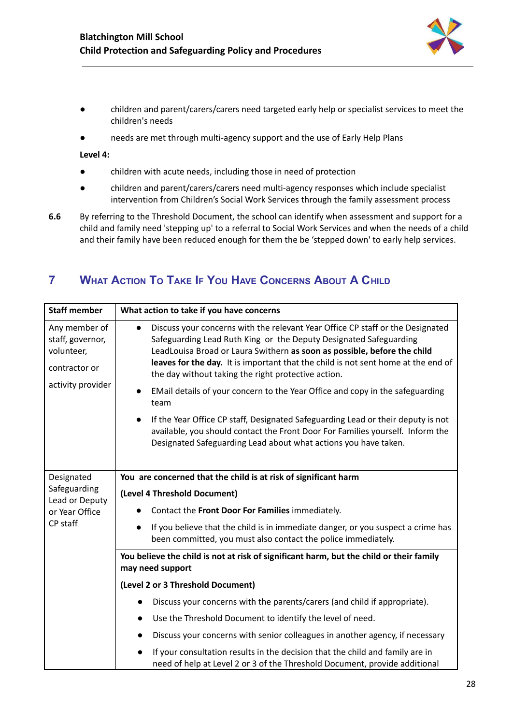

- children and parent/carers/carers need targeted early help or specialist services to meet the children's needs
- needs are met through multi-agency support and the use of Early Help Plans

**Level 4:**

- children with acute needs, including those in need of protection
- children and parent/carers/carers need multi-agency responses which include specialist intervention from Children's Social Work Services through the family assessment process
- **6.6** By referring to the Threshold Document, the school can identify when assessment and support for a child and family need 'stepping up' to a referral to Social Work Services and when the needs of a child and their family have been reduced enough for them the be 'stepped down' to early help services.

## <span id="page-28-0"></span>**7 WHAT ACTION TO TAKE IF YOU HAVE CONCERNS ABOUT A CHILD**

| <b>Staff member</b>                                                                   | What action to take if you have concerns                                                                                                                                                                                                                                                                                                                                                                                                                                          |
|---------------------------------------------------------------------------------------|-----------------------------------------------------------------------------------------------------------------------------------------------------------------------------------------------------------------------------------------------------------------------------------------------------------------------------------------------------------------------------------------------------------------------------------------------------------------------------------|
| Any member of<br>staff, governor,<br>volunteer,<br>contractor or<br>activity provider | Discuss your concerns with the relevant Year Office CP staff or the Designated<br>Safeguarding Lead Ruth King or the Deputy Designated Safeguarding<br>LeadLouisa Broad or Laura Swithern as soon as possible, before the child<br>leaves for the day. It is important that the child is not sent home at the end of<br>the day without taking the right protective action.<br>EMail details of your concern to the Year Office and copy in the safeguarding<br>$\bullet$<br>team |
|                                                                                       | If the Year Office CP staff, Designated Safeguarding Lead or their deputy is not<br>available, you should contact the Front Door For Families yourself. Inform the<br>Designated Safeguarding Lead about what actions you have taken.                                                                                                                                                                                                                                             |
| Designated                                                                            | You are concerned that the child is at risk of significant harm                                                                                                                                                                                                                                                                                                                                                                                                                   |
| Safeguarding<br>Lead or Deputy                                                        | (Level 4 Threshold Document)                                                                                                                                                                                                                                                                                                                                                                                                                                                      |
| or Year Office                                                                        | Contact the Front Door For Families immediately.                                                                                                                                                                                                                                                                                                                                                                                                                                  |
| CP staff                                                                              | If you believe that the child is in immediate danger, or you suspect a crime has<br>been committed, you must also contact the police immediately.                                                                                                                                                                                                                                                                                                                                 |
|                                                                                       | You believe the child is not at risk of significant harm, but the child or their family<br>may need support                                                                                                                                                                                                                                                                                                                                                                       |
|                                                                                       | (Level 2 or 3 Threshold Document)                                                                                                                                                                                                                                                                                                                                                                                                                                                 |
|                                                                                       | Discuss your concerns with the parents/carers (and child if appropriate).                                                                                                                                                                                                                                                                                                                                                                                                         |
|                                                                                       | Use the Threshold Document to identify the level of need.                                                                                                                                                                                                                                                                                                                                                                                                                         |
|                                                                                       | Discuss your concerns with senior colleagues in another agency, if necessary                                                                                                                                                                                                                                                                                                                                                                                                      |
|                                                                                       | If your consultation results in the decision that the child and family are in<br>need of help at Level 2 or 3 of the Threshold Document, provide additional                                                                                                                                                                                                                                                                                                                       |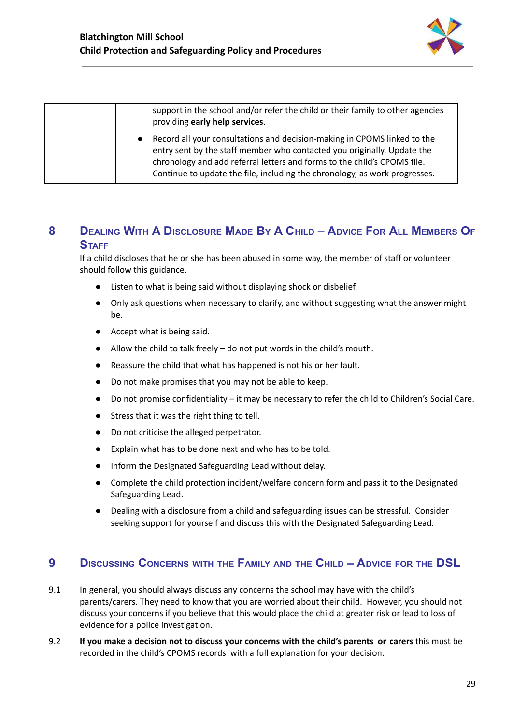

support in the school and/or refer the child or their family to other agencies providing **early help services**.

Record all your consultations and decision-making in CPOMS linked to the entry sent by the staff member who contacted you originally. Update the chronology and add referral letters and forms to the child's CPOMS file. Continue to update the file, including the chronology, as work progresses.

## <span id="page-29-0"></span>8 DEALING WITH A DISCLOSURE MADE BY A CHILD - ADVICE FOR ALL MEMBERS OF **STAFF**

If a child discloses that he or she has been abused in some way, the member of staff or volunteer should follow this guidance.

- Listen to what is being said without displaying shock or disbelief.
- Only ask questions when necessary to clarify, and without suggesting what the answer might be.
- Accept what is being said.
- Allow the child to talk freely do not put words in the child's mouth.
- Reassure the child that what has happened is not his or her fault.
- Do not make promises that you may not be able to keep.
- Do not promise confidentiality it may be necessary to refer the child to Children's Social Care.
- Stress that it was the right thing to tell.
- Do not criticise the alleged perpetrator.
- Explain what has to be done next and who has to be told.
- Inform the Designated Safeguarding Lead without delay.
- Complete the child protection incident/welfare concern form and pass it to the Designated Safeguarding Lead.
- Dealing with a disclosure from a child and safeguarding issues can be stressful. Consider seeking support for yourself and discuss this with the Designated Safeguarding Lead.

## <span id="page-29-1"></span>**9 DISCUSSING CONCERNS WITH THE FAMILY AND THE CHILD – ADVICE FOR THE DSL**

- 9.1 In general, you should always discuss any concerns the school may have with the child's parents/carers. They need to know that you are worried about their child. However, you should not discuss your concerns if you believe that this would place the child at greater risk or lead to loss of evidence for a police investigation.
- 9.2 **If you make a decision not to discuss your concerns with the child's parents or carers** this must be recorded in the child's CPOMS records with a full explanation for your decision.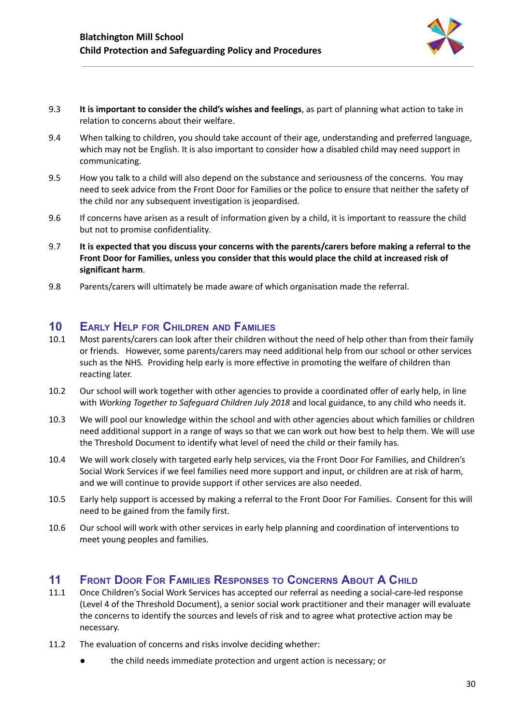

- 9.3 **It is important to consider the child's wishes and feelings**, as part of planning what action to take in relation to concerns about their welfare.
- 9.4 When talking to children, you should take account of their age, understanding and preferred language, which may not be English. It is also important to consider how a disabled child may need support in communicating.
- 9.5 How you talk to a child will also depend on the substance and seriousness of the concerns. You may need to seek advice from the Front Door for Families or the police to ensure that neither the safety of the child nor any subsequent investigation is jeopardised.
- 9.6 If concerns have arisen as a result of information given by a child, it is important to reassure the child but not to promise confidentiality.
- 9.7 **It is expected that you discuss your concerns with the parents/carers before making a referral to the Front Door for Families, unless you consider that this would place the child at increased risk of significant harm**.
- 9.8 Parents/carers will ultimately be made aware of which organisation made the referral.

## <span id="page-30-0"></span>**10 EARLY HELP FOR CHILDREN AND FAMILIES**

- 10.1 Most parents/carers can look after their children without the need of help other than from their family or friends. However, some parents/carers may need additional help from our school or other services such as the NHS. Providing help early is more effective in promoting the welfare of children than reacting later.
- 10.2 Our school will work together with other agencies to provide a coordinated offer of early help, in line with *Working Together to Safeguard Children July 2018* and local guidance, to any child who needs it.
- 10.3 We will pool our knowledge within the school and with other agencies about which families or children need additional support in a range of ways so that we can work out how best to help them. We will use the Threshold Document to identify what level of need the child or their family has.
- 10.4 We will work closely with targeted early help services, via the Front Door For Families, and Children's Social Work Services if we feel families need more support and input, or children are at risk of harm, and we will continue to provide support if other services are also needed.
- 10.5 Early help support is accessed by making a referral to the Front Door For Families. Consent for this will need to be gained from the family first.
- 10.6 Our school will work with other services in early help planning and coordination of interventions to meet young peoples and families.

## <span id="page-30-1"></span>**11 FRONT DOOR FOR FAMILIES RESPONSES TO CONCERNS ABOUT A CHILD**

- 11.1 Once Children's Social Work Services has accepted our referral as needing a social-care-led response (Level 4 of the Threshold Document), a senior social work practitioner and their manager will evaluate the concerns to identify the sources and levels of risk and to agree what protective action may be necessary.
- 11.2 The evaluation of concerns and risks involve deciding whether:
	- the child needs immediate protection and urgent action is necessary; or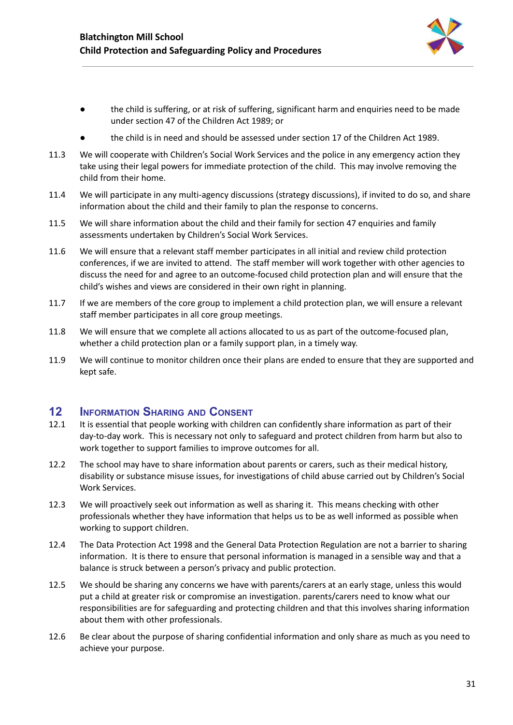

- the child is suffering, or at risk of suffering, significant harm and enquiries need to be made under section 47 of the Children Act 1989; or
- the child is in need and should be assessed under section 17 of the Children Act 1989.
- 11.3 We will cooperate with Children's Social Work Services and the police in any emergency action they take using their legal powers for immediate protection of the child. This may involve removing the child from their home.
- 11.4 We will participate in any multi-agency discussions (strategy discussions), if invited to do so, and share information about the child and their family to plan the response to concerns.
- 11.5 We will share information about the child and their family for section 47 enquiries and family assessments undertaken by Children's Social Work Services.
- 11.6 We will ensure that a relevant staff member participates in all initial and review child protection conferences, if we are invited to attend. The staff member will work together with other agencies to discuss the need for and agree to an outcome-focused child protection plan and will ensure that the child's wishes and views are considered in their own right in planning.
- 11.7 If we are members of the core group to implement a child protection plan, we will ensure a relevant staff member participates in all core group meetings.
- 11.8 We will ensure that we complete all actions allocated to us as part of the outcome-focused plan, whether a child protection plan or a family support plan, in a timely way.
- 11.9 We will continue to monitor children once their plans are ended to ensure that they are supported and kept safe.

## <span id="page-31-0"></span>**12 INFORMATION SHARING AND CONSENT**

- 12.1 It is essential that people working with children can confidently share information as part of their day-to-day work. This is necessary not only to safeguard and protect children from harm but also to work together to support families to improve outcomes for all.
- 12.2 The school may have to share information about parents or carers, such as their medical history, disability or substance misuse issues, for investigations of child abuse carried out by Children's Social Work Services.
- 12.3 We will proactively seek out information as well as sharing it. This means checking with other professionals whether they have information that helps us to be as well informed as possible when working to support children.
- 12.4 The Data Protection Act 1998 and the General Data Protection Regulation are not a barrier to sharing information. It is there to ensure that personal information is managed in a sensible way and that a balance is struck between a person's privacy and public protection.
- 12.5 We should be sharing any concerns we have with parents/carers at an early stage, unless this would put a child at greater risk or compromise an investigation. parents/carers need to know what our responsibilities are for safeguarding and protecting children and that this involves sharing information about them with other professionals.
- 12.6 Be clear about the purpose of sharing confidential information and only share as much as you need to achieve your purpose.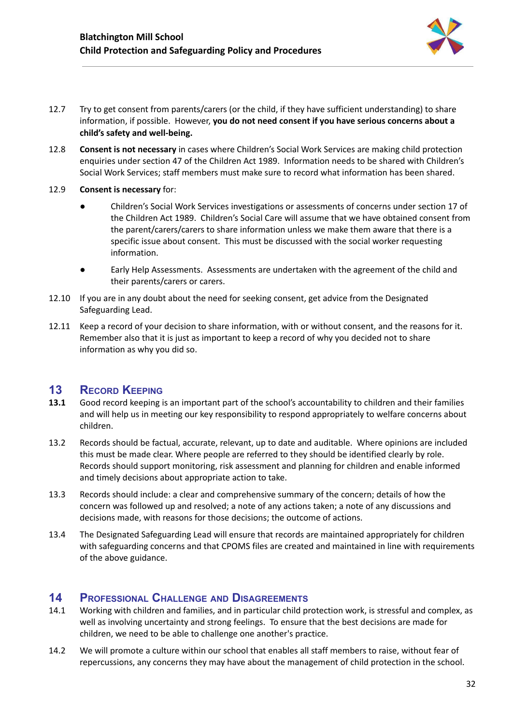

- 12.7 Try to get consent from parents/carers (or the child, if they have sufficient understanding) to share information, if possible. However, **you do not need consent if you have serious concerns about a child's safety and well-being.**
- 12.8 **Consent is not necessary** in cases where Children's Social Work Services are making child protection enquiries under section 47 of the Children Act 1989. Information needs to be shared with Children's Social Work Services; staff members must make sure to record what information has been shared.
- 12.9 **Consent is necessary** for:
	- Children's Social Work Services investigations or assessments of concerns under section 17 of the Children Act 1989. Children's Social Care will assume that we have obtained consent from the parent/carers/carers to share information unless we make them aware that there is a specific issue about consent. This must be discussed with the social worker requesting information.
	- Early Help Assessments. Assessments are undertaken with the agreement of the child and their parents/carers or carers.
- 12.10 If you are in any doubt about the need for seeking consent, get advice from the Designated Safeguarding Lead.
- 12.11 Keep a record of your decision to share information, with or without consent, and the reasons for it. Remember also that it is just as important to keep a record of why you decided not to share information as why you did so.

## <span id="page-32-0"></span>**13 RECORD KEEPING**

- **13.1** Good record keeping is an important part of the school's accountability to children and their families and will help us in meeting our key responsibility to respond appropriately to welfare concerns about children.
- 13.2 Records should be factual, accurate, relevant, up to date and auditable. Where opinions are included this must be made clear. Where people are referred to they should be identified clearly by role. Records should support monitoring, risk assessment and planning for children and enable informed and timely decisions about appropriate action to take.
- 13.3 Records should include: a clear and comprehensive summary of the concern; details of how the concern was followed up and resolved; a note of any actions taken; a note of any discussions and decisions made, with reasons for those decisions; the outcome of actions.
- 13.4 The Designated Safeguarding Lead will ensure that records are maintained appropriately for children with safeguarding concerns and that CPOMS files are created and maintained in line with requirements of the above guidance.

## <span id="page-32-1"></span>**14 PROFESSIONAL CHALLENGE AND DISAGREEMENTS**

- 14.1 Working with children and families, and in particular child protection work, is stressful and complex, as well as involving uncertainty and strong feelings. To ensure that the best decisions are made for children, we need to be able to challenge one another's practice.
- 14.2 We will promote a culture within our school that enables all staff members to raise, without fear of repercussions, any concerns they may have about the management of child protection in the school.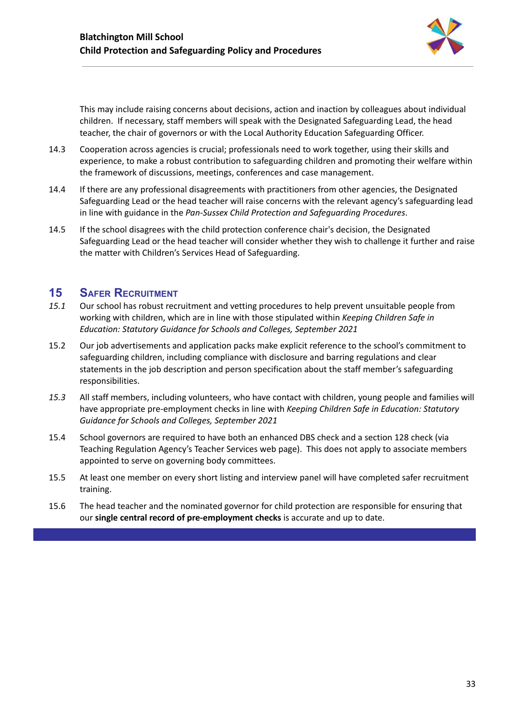

This may include raising concerns about decisions, action and inaction by colleagues about individual children. If necessary, staff members will speak with the Designated Safeguarding Lead, the head teacher, the chair of governors or with the Local Authority Education Safeguarding Officer.

- 14.3 Cooperation across agencies is crucial; professionals need to work together, using their skills and experience, to make a robust contribution to safeguarding children and promoting their welfare within the framework of discussions, meetings, conferences and case management.
- 14.4 If there are any professional disagreements with practitioners from other agencies, the Designated Safeguarding Lead or the head teacher will raise concerns with the relevant agency's safeguarding lead in line with guidance in the *Pan-Sussex Child Protection and Safeguarding Procedures*.
- 14.5 If the school disagrees with the child protection conference chair's decision, the Designated Safeguarding Lead or the head teacher will consider whether they wish to challenge it further and raise the matter with Children's Services Head of Safeguarding.

## <span id="page-33-0"></span>**15 SAFER RECRUITMENT**

- *15.1* Our school has robust recruitment and vetting procedures to help prevent unsuitable people from working with children, which are in line with those stipulated within *Keeping Children Safe in Education: Statutory Guidance for Schools and Colleges, September 2021*
- 15.2 Our job advertisements and application packs make explicit reference to the school's commitment to safeguarding children, including compliance with disclosure and barring regulations and clear statements in the job description and person specification about the staff member's safeguarding responsibilities.
- *15.3* All staff members, including volunteers, who have contact with children, young people and families will have appropriate pre-employment checks in line with *Keeping Children Safe in Education: Statutory Guidance for Schools and Colleges, September 2021*
- 15.4 School governors are required to have both an enhanced DBS check and a section 128 check (via Teaching Regulation Agency's Teacher Services web page). This does not apply to associate members appointed to serve on governing body committees.
- 15.5 At least one member on every short listing and interview panel will have completed safer recruitment training.
- 15.6 The head teacher and the nominated governor for child protection are responsible for ensuring that our **single central record of pre-employment checks** is accurate and up to date.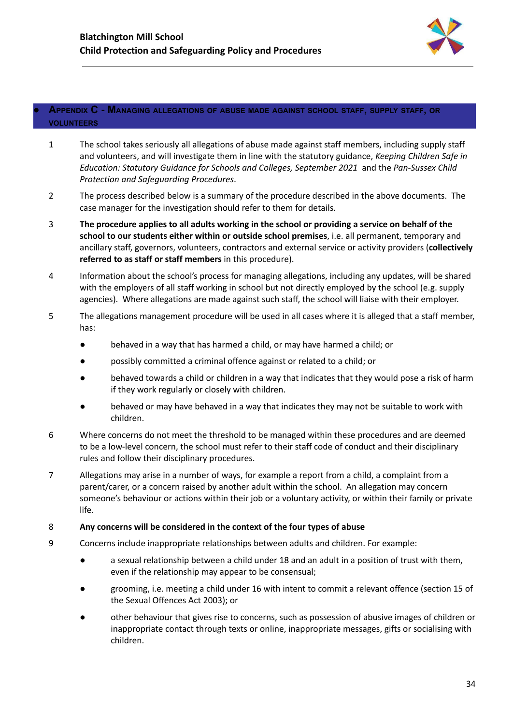

#### <span id="page-34-0"></span>**● APPENDIX C - MANAGING ALLEGATIONS OF ABUSE MADE AGAINST SCHOOL STAFF, SUPPLY STAFF, OR VOLUNTEERS**

- 1 The school takes seriously all allegations of abuse made against staff members, including supply staff and volunteers, and will investigate them in line with the statutory guidance, *Keeping Children Safe in Education: Statutory Guidance for Schools and Colleges, September 2021* and the *Pan-Sussex Child Protection and Safeguarding Procedures*.
- 2 The process described below is a summary of the procedure described in the above documents. The case manager for the investigation should refer to them for details.
- 3 The procedure applies to all adults working in the school or providing a service on behalf of the **school to our students either within or outside school premises**, i.e. all permanent, temporary and ancillary staff, governors, volunteers, contractors and external service or activity providers (**collectively referred to as staff or staff members** in this procedure).
- 4 Information about the school's process for managing allegations, including any updates, will be shared with the employers of all staff working in school but not directly employed by the school (e.g. supply agencies). Where allegations are made against such staff, the school will liaise with their employer.
- 5 The allegations management procedure will be used in all cases where it is alleged that a staff member, has:
	- behaved in a way that has harmed a child, or may have harmed a child; or
	- possibly committed a criminal offence against or related to a child; or
	- behaved towards a child or children in a way that indicates that they would pose a risk of harm if they work regularly or closely with children.
	- behaved or may have behaved in a way that indicates they may not be suitable to work with children.
- 6 Where concerns do not meet the threshold to be managed within these procedures and are deemed to be a low-level concern, the school must refer to their staff code of conduct and their disciplinary rules and follow their disciplinary procedures.
- 7 Allegations may arise in a number of ways, for example a report from a child, a complaint from a parent/carer, or a concern raised by another adult within the school. An allegation may concern someone's behaviour or actions within their job or a voluntary activity, or within their family or private life.

#### 8 **Any concerns will be considered in the context of the four types of abuse**

- 9 Concerns include inappropriate relationships between adults and children. For example:
	- a sexual relationship between a child under 18 and an adult in a position of trust with them, even if the relationship may appear to be consensual;
	- grooming, i.e. meeting a child under 16 with intent to commit a relevant offence (section 15 of the Sexual Offences Act 2003); or
	- other behaviour that gives rise to concerns, such as possession of abusive images of children or inappropriate contact through texts or online, inappropriate messages, gifts or socialising with children.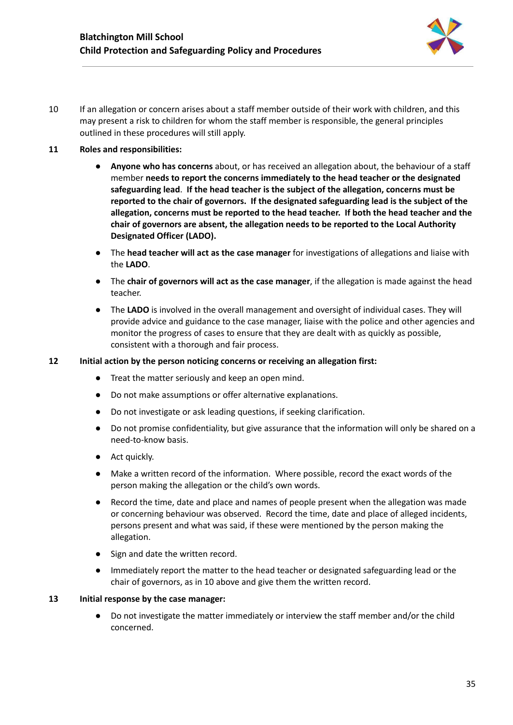

10 If an allegation or concern arises about a staff member outside of their work with children, and this may present a risk to children for whom the staff member is responsible, the general principles outlined in these procedures will still apply.

#### **11 Roles and responsibilities:**

- **● Anyone who has concerns** about, or has received an allegation about, the behaviour of a staff member **needs to report the concerns immediately to the head teacher or the designated safeguarding lead**. **If the head teacher is the subject of the allegation, concerns must be reported to the chair of governors. If the designated safeguarding lead is the subject of the allegation, concerns must be reported to the head teacher. If both the head teacher and the chair of governors are absent, the allegation needs to be reported to the Local Authority Designated Officer (LADO).**
- **●** The **head teacher will act as the case manager** for investigations of allegations and liaise with the **LADO**.
- **●** The **chair of governors will act as the case manager**, if the allegation is made against the head teacher.
- **●** The **LADO** is involved in the overall management and oversight of individual cases. They will provide advice and guidance to the case manager, liaise with the police and other agencies and monitor the progress of cases to ensure that they are dealt with as quickly as possible, consistent with a thorough and fair process.

#### **12 Initial action by the person noticing concerns or receiving an allegation first:**

- Treat the matter seriously and keep an open mind.
- Do not make assumptions or offer alternative explanations.
- Do not investigate or ask leading questions, if seeking clarification.
- Do not promise confidentiality, but give assurance that the information will only be shared on a need-to-know basis.
- Act quickly.
- Make a written record of the information. Where possible, record the exact words of the person making the allegation or the child's own words.
- Record the time, date and place and names of people present when the allegation was made or concerning behaviour was observed. Record the time, date and place of alleged incidents, persons present and what was said, if these were mentioned by the person making the allegation.
- Sign and date the written record.
- Immediately report the matter to the head teacher or designated safeguarding lead or the chair of governors, as in 10 above and give them the written record.

#### **13 Initial response by the case manager:**

● Do not investigate the matter immediately or interview the staff member and/or the child concerned.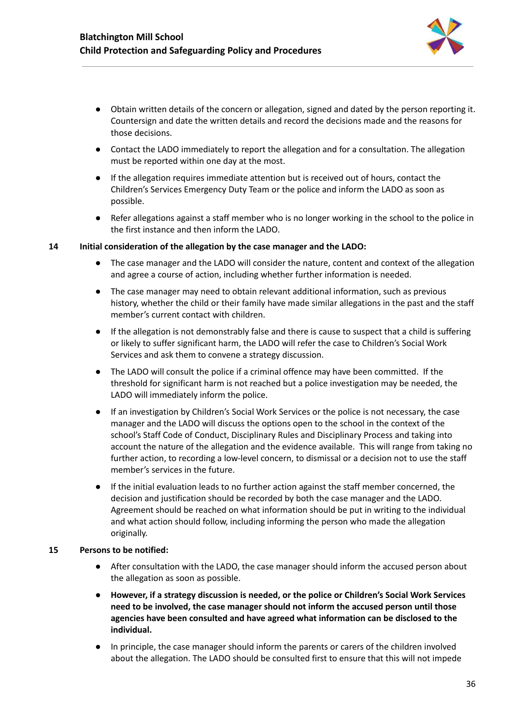

- Obtain written details of the concern or allegation, signed and dated by the person reporting it. Countersign and date the written details and record the decisions made and the reasons for those decisions.
- **●** Contact the LADO immediately to report the allegation and for a consultation. The allegation must be reported within one day at the most.
- **●** If the allegation requires immediate attention but is received out of hours, contact the Children's Services Emergency Duty Team or the police and inform the LADO as soon as possible.
- **●** Refer allegations against a staff member who is no longer working in the school to the police in the first instance and then inform the LADO.

#### **14 Initial consideration of the allegation by the case manager and the LADO:**

- The case manager and the LADO will consider the nature, content and context of the allegation and agree a course of action, including whether further information is needed.
- The case manager may need to obtain relevant additional information, such as previous history, whether the child or their family have made similar allegations in the past and the staff member's current contact with children.
- If the allegation is not demonstrably false and there is cause to suspect that a child is suffering or likely to suffer significant harm, the LADO will refer the case to Children's Social Work Services and ask them to convene a strategy discussion.
- The LADO will consult the police if a criminal offence may have been committed. If the threshold for significant harm is not reached but a police investigation may be needed, the LADO will immediately inform the police.
- If an investigation by Children's Social Work Services or the police is not necessary, the case manager and the LADO will discuss the options open to the school in the context of the school's Staff Code of Conduct, Disciplinary Rules and Disciplinary Process and taking into account the nature of the allegation and the evidence available. This will range from taking no further action, to recording a low-level concern, to dismissal or a decision not to use the staff member's services in the future.
- If the initial evaluation leads to no further action against the staff member concerned, the decision and justification should be recorded by both the case manager and the LADO. Agreement should be reached on what information should be put in writing to the individual and what action should follow, including informing the person who made the allegation originally.

#### **15 Persons to be notified:**

- After consultation with the LADO, the case manager should inform the accused person about the allegation as soon as possible.
- **● However, if a strategy discussion is needed, or the police or Children's Social Work Services need to be involved, the case manager should not inform the accused person until those agencies have been consulted and have agreed what information can be disclosed to the individual.**
- **●** In principle, the case manager should inform the parents or carers of the children involved about the allegation. The LADO should be consulted first to ensure that this will not impede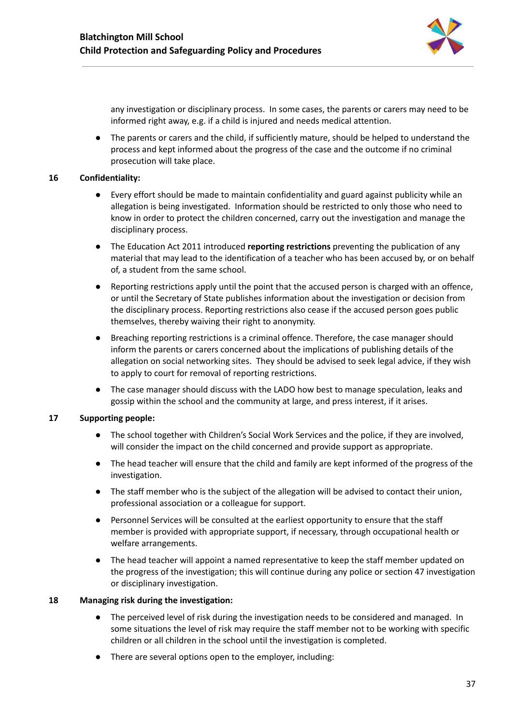

any investigation or disciplinary process. In some cases, the parents or carers may need to be informed right away, e.g. if a child is injured and needs medical attention.

**●** The parents or carers and the child, if sufficiently mature, should be helped to understand the process and kept informed about the progress of the case and the outcome if no criminal prosecution will take place.

#### **16 Confidentiality:**

- Every effort should be made to maintain confidentiality and guard against publicity while an allegation is being investigated. Information should be restricted to only those who need to know in order to protect the children concerned, carry out the investigation and manage the disciplinary process.
- The Education Act 2011 introduced **reporting restrictions** preventing the publication of any material that may lead to the identification of a teacher who has been accused by, or on behalf of, a student from the same school.
- Reporting restrictions apply until the point that the accused person is charged with an offence, or until the Secretary of State publishes information about the investigation or decision from the disciplinary process. Reporting restrictions also cease if the accused person goes public themselves, thereby waiving their right to anonymity.
- Breaching reporting restrictions is a criminal offence. Therefore, the case manager should inform the parents or carers concerned about the implications of publishing details of the allegation on social networking sites. They should be advised to seek legal advice, if they wish to apply to court for removal of reporting restrictions.
- The case manager should discuss with the LADO how best to manage speculation, leaks and gossip within the school and the community at large, and press interest, if it arises.

#### **17 Supporting people:**

- The school together with Children's Social Work Services and the police, if they are involved, will consider the impact on the child concerned and provide support as appropriate.
- The head teacher will ensure that the child and family are kept informed of the progress of the investigation.
- The staff member who is the subject of the allegation will be advised to contact their union, professional association or a colleague for support.
- Personnel Services will be consulted at the earliest opportunity to ensure that the staff member is provided with appropriate support, if necessary, through occupational health or welfare arrangements.
- The head teacher will appoint a named representative to keep the staff member updated on the progress of the investigation; this will continue during any police or section 47 investigation or disciplinary investigation.

#### **18 Managing risk during the investigation:**

- The perceived level of risk during the investigation needs to be considered and managed. In some situations the level of risk may require the staff member not to be working with specific children or all children in the school until the investigation is completed.
- There are several options open to the employer, including: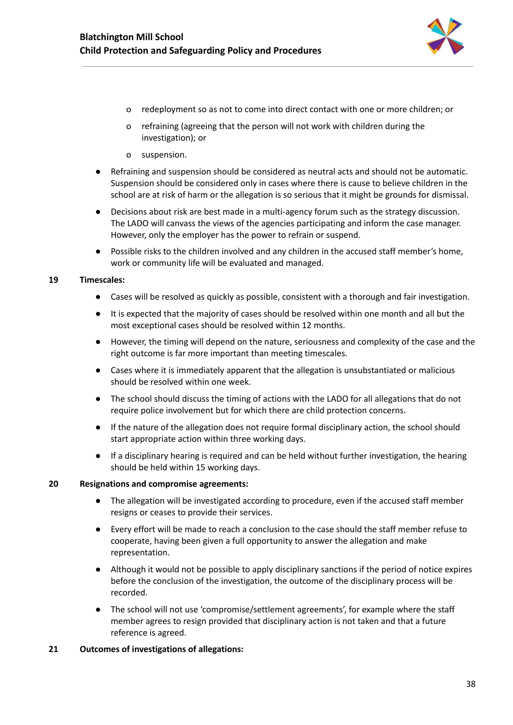

- o redeployment so as not to come into direct contact with one or more children; or
- o refraining (agreeing that the person will not work with children during the investigation); or
- o suspension.
- Refraining and suspension should be considered as neutral acts and should not be automatic. Suspension should be considered only in cases where there is cause to believe children in the school are at risk of harm or the allegation is so serious that it might be grounds for dismissal.
- Decisions about risk are best made in a multi-agency forum such as the strategy discussion. The LADO will canvass the views of the agencies participating and inform the case manager. However, only the employer has the power to refrain or suspend.
- **●** Possible risks to the children involved and any children in the accused staff member's home, work or community life will be evaluated and managed.

#### **19 Timescales:**

- Cases will be resolved as quickly as possible, consistent with a thorough and fair investigation.
- It is expected that the majority of cases should be resolved within one month and all but the most exceptional cases should be resolved within 12 months.
- However, the timing will depend on the nature, seriousness and complexity of the case and the right outcome is far more important than meeting timescales.
- Cases where it is immediately apparent that the allegation is unsubstantiated or malicious should be resolved within one week.
- The school should discuss the timing of actions with the LADO for all allegations that do not require police involvement but for which there are child protection concerns.
- If the nature of the allegation does not require formal disciplinary action, the school should start appropriate action within three working days.
- If a disciplinary hearing is required and can be held without further investigation, the hearing should be held within 15 working days.

#### **20 Resignations and compromise agreements:**

- The allegation will be investigated according to procedure, even if the accused staff member resigns or ceases to provide their services.
- Every effort will be made to reach a conclusion to the case should the staff member refuse to cooperate, having been given a full opportunity to answer the allegation and make representation.
- Although it would not be possible to apply disciplinary sanctions if the period of notice expires before the conclusion of the investigation, the outcome of the disciplinary process will be recorded.
- The school will not use 'compromise/settlement agreements', for example where the staff member agrees to resign provided that disciplinary action is not taken and that a future reference is agreed.
- **21 Outcomes of investigations of allegations:**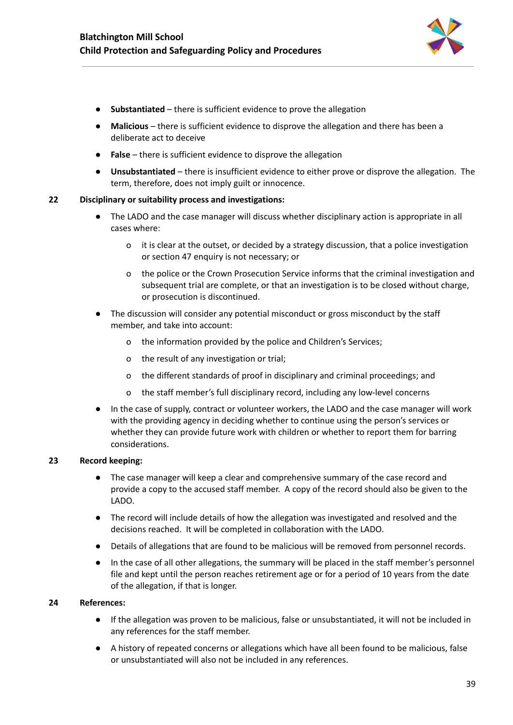

- **Substantiated** there is sufficient evidence to prove the allegation
- **Malicious** there is sufficient evidence to disprove the allegation and there has been a deliberate act to deceive
- **False** there is sufficient evidence to disprove the allegation
- **Unsubstantiated** there is insufficient evidence to either prove or disprove the allegation. The term, therefore, does not imply guilt or innocence.

#### **22 Disciplinary or suitability process and investigations:**

- The LADO and the case manager will discuss whether disciplinary action is appropriate in all cases where:
	- o it is clear at the outset, or decided by a strategy discussion, that a police investigation or section 47 enquiry is not necessary; or
	- o the police or the Crown Prosecution Service informs that the criminal investigation and subsequent trial are complete, or that an investigation is to be closed without charge, or prosecution is discontinued.
- The discussion will consider any potential misconduct or gross misconduct by the staff member, and take into account:
	- o the information provided by the police and Children's Services;
	- o the result of any investigation or trial;
	- o the different standards of proof in disciplinary and criminal proceedings; and
	- o the staff member's full disciplinary record, including any low-level concerns
- In the case of supply, contract or volunteer workers, the LADO and the case manager will work with the providing agency in deciding whether to continue using the person's services or whether they can provide future work with children or whether to report them for barring considerations.

#### **23 Record keeping:**

- The case manager will keep a clear and comprehensive summary of the case record and provide a copy to the accused staff member. A copy of the record should also be given to the LADO.
- The record will include details of how the allegation was investigated and resolved and the decisions reached. It will be completed in collaboration with the LADO.
- Details of allegations that are found to be malicious will be removed from personnel records.
- In the case of all other allegations, the summary will be placed in the staff member's personnel file and kept until the person reaches retirement age or for a period of 10 years from the date of the allegation, if that is longer.

#### **24 References:**

- If the allegation was proven to be malicious, false or unsubstantiated, it will not be included in any references for the staff member.
- A history of repeated concerns or allegations which have all been found to be malicious, false or unsubstantiated will also not be included in any references.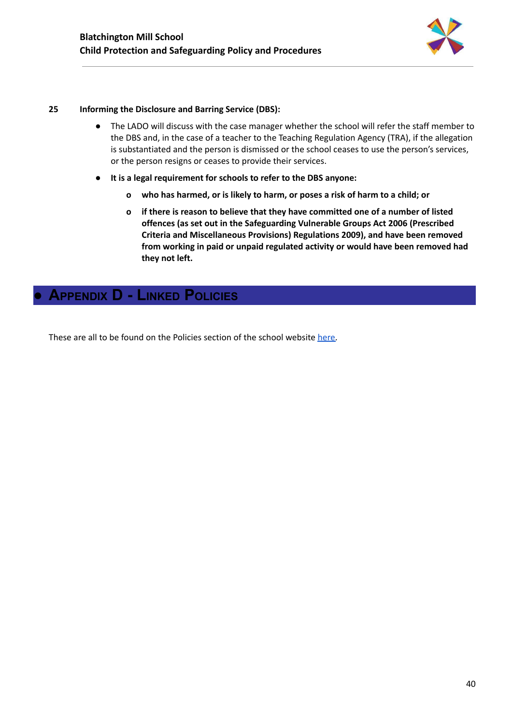

#### **25 Informing the Disclosure and Barring Service (DBS):**

- The LADO will discuss with the case manager whether the school will refer the staff member to the DBS and, in the case of a teacher to the Teaching Regulation Agency (TRA), if the allegation is substantiated and the person is dismissed or the school ceases to use the person's services, or the person resigns or ceases to provide their services.
- **● It is a legal requirement for schools to refer to the DBS anyone:**
	- **o who has harmed, or is likely to harm, or poses a risk of harm to a child; or**
	- **o if there is reason to believe that they have committed one of a number of listed offences (as set out in the Safeguarding Vulnerable Groups Act 2006 (Prescribed Criteria and Miscellaneous Provisions) Regulations 2009), and have been removed from working in paid or unpaid regulated activity or would have been removed had they not left.**

## <span id="page-40-0"></span>**● APPENDIX D - LINKED POLICIES**

These are all to be found on the Policies section of the school website [here.](https://www.blatchingtonmill.org.uk/our-policies-and-processes/policies/)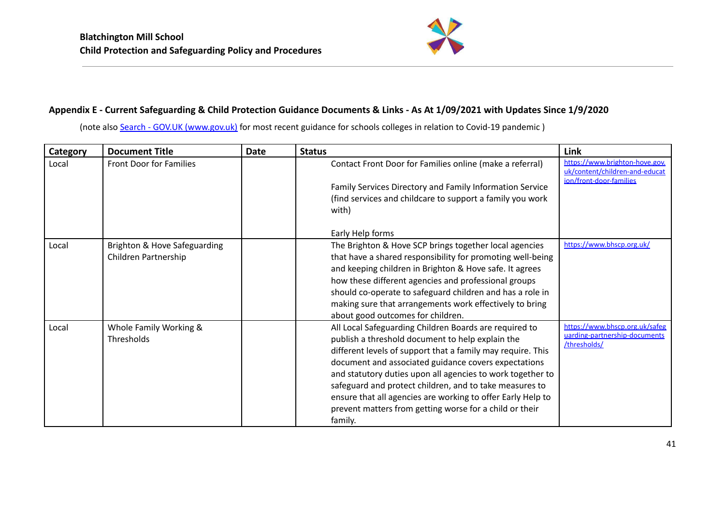

## **Appendix E - Current Safeguarding & Child Protection Guidance Documents & Links - As At 1/09/2021 with Updates Since 1/9/2020**

(note also Search - GOV.UK [\(www.gov.uk\)](https://www.gov.uk/search/all?level_one_taxon=5b7b9532-a775-4bd2-a3aa-6ce380184b6c&level_two_taxon=272308f4-05c8-4d0d-abc7-b7c2e3ccd249&content_purpose_supergroup%5B%5D=guidance_and_regulation&order=most-viewed) for most recent guidance for schools colleges in relation to Covid-19 pandemic)

| <b>Category</b> | <b>Document Title</b>          | <b>Date</b> | <b>Status</b>                                               | Link                                                                                        |
|-----------------|--------------------------------|-------------|-------------------------------------------------------------|---------------------------------------------------------------------------------------------|
| Local           | <b>Front Door for Families</b> |             | Contact Front Door for Families online (make a referral)    | https://www.brighton-hove.gov.<br>uk/content/children-and-educat<br>ion/front-door-families |
|                 |                                |             | Family Services Directory and Family Information Service    |                                                                                             |
|                 |                                |             | (find services and childcare to support a family you work   |                                                                                             |
|                 |                                |             | with)                                                       |                                                                                             |
|                 |                                |             | Early Help forms                                            |                                                                                             |
| Local           | Brighton & Hove Safeguarding   |             | The Brighton & Hove SCP brings together local agencies      | https://www.bhscp.org.uk/                                                                   |
|                 | Children Partnership           |             | that have a shared responsibility for promoting well-being  |                                                                                             |
|                 |                                |             | and keeping children in Brighton & Hove safe. It agrees     |                                                                                             |
|                 |                                |             | how these different agencies and professional groups        |                                                                                             |
|                 |                                |             | should co-operate to safeguard children and has a role in   |                                                                                             |
|                 |                                |             | making sure that arrangements work effectively to bring     |                                                                                             |
|                 |                                |             | about good outcomes for children.                           |                                                                                             |
| Local           | Whole Family Working &         |             | All Local Safeguarding Children Boards are required to      | https://www.bhscp.org.uk/safeg                                                              |
|                 | Thresholds                     |             | publish a threshold document to help explain the            | uarding-partnership-documents<br>/thresholds/                                               |
|                 |                                |             | different levels of support that a family may require. This |                                                                                             |
|                 |                                |             | document and associated guidance covers expectations        |                                                                                             |
|                 |                                |             | and statutory duties upon all agencies to work together to  |                                                                                             |
|                 |                                |             | safeguard and protect children, and to take measures to     |                                                                                             |
|                 |                                |             | ensure that all agencies are working to offer Early Help to |                                                                                             |
|                 |                                |             | prevent matters from getting worse for a child or their     |                                                                                             |
|                 |                                |             | family.                                                     |                                                                                             |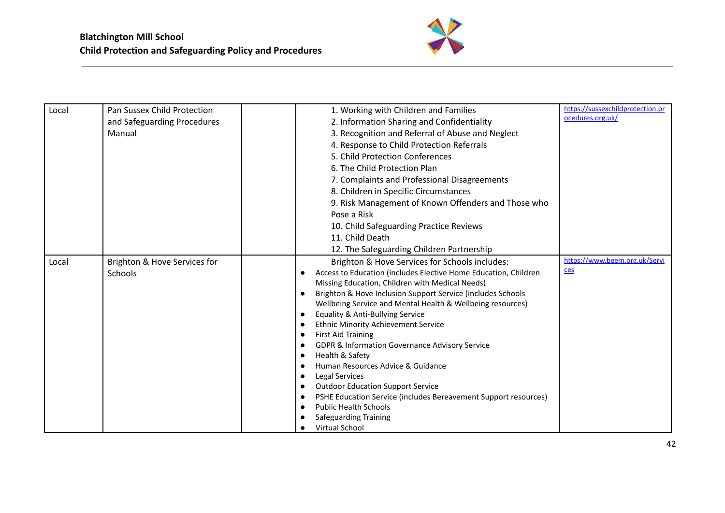

| Local | Pan Sussex Child Protection  | 1. Working with Children and Families                                    | https://sussexchildprotection.pr |
|-------|------------------------------|--------------------------------------------------------------------------|----------------------------------|
|       | and Safeguarding Procedures  | 2. Information Sharing and Confidentiality                               | ocedures.org.uk/                 |
|       | Manual                       | 3. Recognition and Referral of Abuse and Neglect                         |                                  |
|       |                              | 4. Response to Child Protection Referrals                                |                                  |
|       |                              | 5. Child Protection Conferences                                          |                                  |
|       |                              | 6. The Child Protection Plan                                             |                                  |
|       |                              | 7. Complaints and Professional Disagreements                             |                                  |
|       |                              | 8. Children in Specific Circumstances                                    |                                  |
|       |                              | 9. Risk Management of Known Offenders and Those who                      |                                  |
|       |                              | Pose a Risk                                                              |                                  |
|       |                              | 10. Child Safeguarding Practice Reviews                                  |                                  |
|       |                              | 11. Child Death                                                          |                                  |
|       |                              | 12. The Safeguarding Children Partnership                                |                                  |
| Local | Brighton & Hove Services for | Brighton & Hove Services for Schools includes:                           | https://www.beem.org.uk/Servi    |
|       | Schools                      | Access to Education (includes Elective Home Education, Children          | ces                              |
|       |                              | Missing Education, Children with Medical Needs)                          |                                  |
|       |                              | Brighton & Hove Inclusion Support Service (includes Schools<br>$\bullet$ |                                  |
|       |                              | Wellbeing Service and Mental Health & Wellbeing resources)               |                                  |
|       |                              | Equality & Anti-Bullying Service                                         |                                  |
|       |                              | <b>Ethnic Minority Achievement Service</b>                               |                                  |
|       |                              | <b>First Aid Training</b><br>с                                           |                                  |
|       |                              | GDPR & Information Governance Advisory Service                           |                                  |
|       |                              | Health & Safety                                                          |                                  |
|       |                              | Human Resources Advice & Guidance                                        |                                  |
|       |                              | Legal Services<br>c<br><b>Outdoor Education Support Service</b>          |                                  |
|       |                              | PSHE Education Service (includes Bereavement Support resources)<br>о     |                                  |
|       |                              | <b>Public Health Schools</b>                                             |                                  |
|       |                              | Safeguarding Training                                                    |                                  |
|       |                              | <b>Virtual School</b>                                                    |                                  |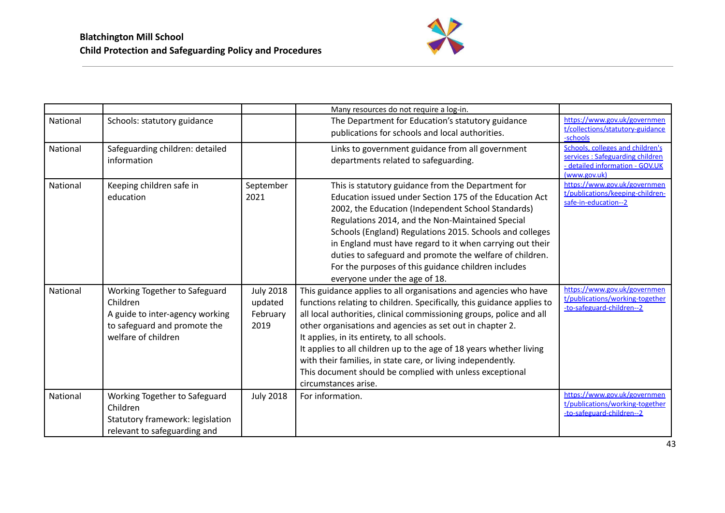

|          |                                                                                                                                     |                                                 | Many resources do not require a log-in.                                                                                                                                                                                                                                                                                                                                                                                                                                                                                                                    |                                                                                                                        |
|----------|-------------------------------------------------------------------------------------------------------------------------------------|-------------------------------------------------|------------------------------------------------------------------------------------------------------------------------------------------------------------------------------------------------------------------------------------------------------------------------------------------------------------------------------------------------------------------------------------------------------------------------------------------------------------------------------------------------------------------------------------------------------------|------------------------------------------------------------------------------------------------------------------------|
| National | Schools: statutory guidance                                                                                                         |                                                 | The Department for Education's statutory guidance<br>publications for schools and local authorities.                                                                                                                                                                                                                                                                                                                                                                                                                                                       | https://www.gov.uk/governmen<br>t/collections/statutory-guidance<br>-schools                                           |
| National | Safeguarding children: detailed<br>information                                                                                      |                                                 | Links to government guidance from all government<br>departments related to safeguarding.                                                                                                                                                                                                                                                                                                                                                                                                                                                                   | Schools, colleges and children's<br>services: Safeguarding children<br>- detailed information - GOV.UK<br>(www.gov.uk) |
| National | Keeping children safe in<br>education                                                                                               | September<br>2021                               | This is statutory guidance from the Department for<br>Education issued under Section 175 of the Education Act<br>2002, the Education (Independent School Standards)<br>Regulations 2014, and the Non-Maintained Special<br>Schools (England) Regulations 2015. Schools and colleges<br>in England must have regard to it when carrying out their<br>duties to safeguard and promote the welfare of children.<br>For the purposes of this guidance children includes<br>everyone under the age of 18.                                                       | https://www.gov.uk/governmen<br>t/publications/keeping-children-<br>safe-in-education--2                               |
| National | Working Together to Safeguard<br>Children<br>A guide to inter-agency working<br>to safeguard and promote the<br>welfare of children | <b>July 2018</b><br>updated<br>February<br>2019 | This guidance applies to all organisations and agencies who have<br>functions relating to children. Specifically, this guidance applies to<br>all local authorities, clinical commissioning groups, police and all<br>other organisations and agencies as set out in chapter 2.<br>It applies, in its entirety, to all schools.<br>It applies to all children up to the age of 18 years whether living<br>with their families, in state care, or living independently.<br>This document should be complied with unless exceptional<br>circumstances arise. | https://www.gov.uk/governmen<br>t/publications/working-together<br>-to-safeguard-children--2                           |
| National | Working Together to Safeguard<br>Children<br>Statutory framework: legislation<br>relevant to safeguarding and                       | <b>July 2018</b>                                | For information.                                                                                                                                                                                                                                                                                                                                                                                                                                                                                                                                           | https://www.gov.uk/governmen<br>t/publications/working-together<br>-to-safeguard-children--2                           |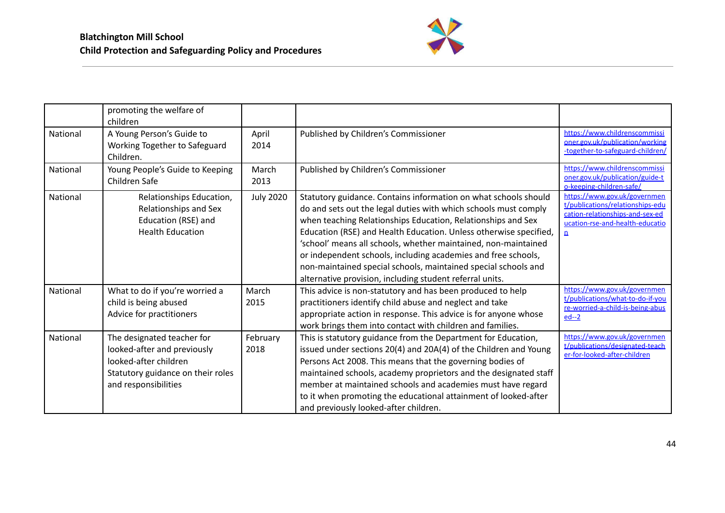

|          | promoting the welfare of<br>children                                                                                                            |                  |                                                                                                                                                                                                                                                                                                                                                                                                                                                                                                                                          |                                                                                                                                                        |
|----------|-------------------------------------------------------------------------------------------------------------------------------------------------|------------------|------------------------------------------------------------------------------------------------------------------------------------------------------------------------------------------------------------------------------------------------------------------------------------------------------------------------------------------------------------------------------------------------------------------------------------------------------------------------------------------------------------------------------------------|--------------------------------------------------------------------------------------------------------------------------------------------------------|
| National | A Young Person's Guide to<br>Working Together to Safeguard<br>Children.                                                                         | April<br>2014    | Published by Children's Commissioner                                                                                                                                                                                                                                                                                                                                                                                                                                                                                                     | https://www.childrenscommissi<br>oner.gov.uk/publication/working<br>-together-to-safeguard-children/                                                   |
| National | Young People's Guide to Keeping<br>Children Safe                                                                                                | March<br>2013    | Published by Children's Commissioner                                                                                                                                                                                                                                                                                                                                                                                                                                                                                                     | https://www.childrenscommissi<br>oner.gov.uk/publication/guide-t<br>o-keeping-children-safe/                                                           |
| National | Relationships Education,<br>Relationships and Sex<br>Education (RSE) and<br><b>Health Education</b>                                             | <b>July 2020</b> | Statutory guidance. Contains information on what schools should<br>do and sets out the legal duties with which schools must comply<br>when teaching Relationships Education, Relationships and Sex<br>Education (RSE) and Health Education. Unless otherwise specified,<br>'school' means all schools, whether maintained, non-maintained<br>or independent schools, including academies and free schools,<br>non-maintained special schools, maintained special schools and<br>alternative provision, including student referral units. | https://www.gov.uk/governmen<br>t/publications/relationships-edu<br>cation-relationships-and-sex-ed<br>ucation-rse-and-health-educatio<br>$\mathbf{n}$ |
| National | What to do if you're worried a<br>child is being abused<br>Advice for practitioners                                                             | March<br>2015    | This advice is non-statutory and has been produced to help<br>practitioners identify child abuse and neglect and take<br>appropriate action in response. This advice is for anyone whose<br>work brings them into contact with children and families.                                                                                                                                                                                                                                                                                    | https://www.gov.uk/governmen<br>t/publications/what-to-do-if-you<br>re-worried-a-child-is-being-abus<br>$ed-2$                                         |
| National | The designated teacher for<br>looked-after and previously<br>looked-after children<br>Statutory guidance on their roles<br>and responsibilities | February<br>2018 | This is statutory guidance from the Department for Education,<br>issued under sections 20(4) and 20A(4) of the Children and Young<br>Persons Act 2008. This means that the governing bodies of<br>maintained schools, academy proprietors and the designated staff<br>member at maintained schools and academies must have regard<br>to it when promoting the educational attainment of looked-after<br>and previously looked-after children.                                                                                            | https://www.gov.uk/governmen<br>t/publications/designated-teach<br>er-for-looked-after-children                                                        |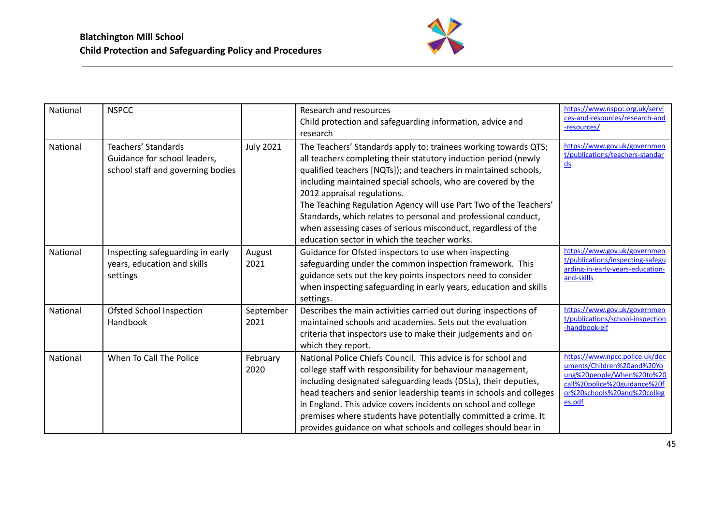

| National        | <b>NSPCC</b>                                                                             |                   | Research and resources<br>Child protection and safeguarding information, advice and<br>research                                                                                                                                                                                                                                                                                                                                                                                                                                                              | https://www.nspcc.org.uk/servi<br>ces-and-resources/research-and<br>-resources/                                                                                    |
|-----------------|------------------------------------------------------------------------------------------|-------------------|--------------------------------------------------------------------------------------------------------------------------------------------------------------------------------------------------------------------------------------------------------------------------------------------------------------------------------------------------------------------------------------------------------------------------------------------------------------------------------------------------------------------------------------------------------------|--------------------------------------------------------------------------------------------------------------------------------------------------------------------|
| <b>National</b> | Teachers' Standards<br>Guidance for school leaders,<br>school staff and governing bodies | <b>July 2021</b>  | The Teachers' Standards apply to: trainees working towards QTS;<br>all teachers completing their statutory induction period (newly<br>qualified teachers [NQTs]); and teachers in maintained schools,<br>including maintained special schools, who are covered by the<br>2012 appraisal regulations.<br>The Teaching Regulation Agency will use Part Two of the Teachers'<br>Standards, which relates to personal and professional conduct,<br>when assessing cases of serious misconduct, regardless of the<br>education sector in which the teacher works. | https://www.gov.uk/governmen<br>t/publications/teachers-standar<br>$\underline{ds}$                                                                                |
| National        | Inspecting safeguarding in early<br>years, education and skills<br>settings              | August<br>2021    | Guidance for Ofsted inspectors to use when inspecting<br>safeguarding under the common inspection framework. This<br>guidance sets out the key points inspectors need to consider<br>when inspecting safeguarding in early years, education and skills<br>settings.                                                                                                                                                                                                                                                                                          | https://www.gov.uk/governmen<br>t/publications/inspecting-safegu<br>arding-in-early-years-education-<br>and-skills                                                 |
| National        | Ofsted School Inspection<br>Handbook                                                     | September<br>2021 | Describes the main activities carried out during inspections of<br>maintained schools and academies. Sets out the evaluation<br>criteria that inspectors use to make their judgements and on<br>which they report.                                                                                                                                                                                                                                                                                                                                           | https://www.gov.uk/governmen<br>t/publications/school-inspection<br>-handbook-eif                                                                                  |
| National        | When To Call The Police                                                                  | February<br>2020  | National Police Chiefs Council. This advice is for school and<br>college staff with responsibility for behaviour management,<br>including designated safeguarding leads (DSLs), their deputies,<br>head teachers and senior leadership teams in schools and colleges<br>in England. This advice covers incidents on school and college<br>premises where students have potentially committed a crime. It<br>provides guidance on what schools and colleges should bear in                                                                                    | https://www.npcc.police.uk/doc<br>uments/Children%20and%20Yo<br>ung%20people/When%20to%20<br>call%20police%20guidance%20f<br>or%20schools%20and%20colleg<br>es.pdf |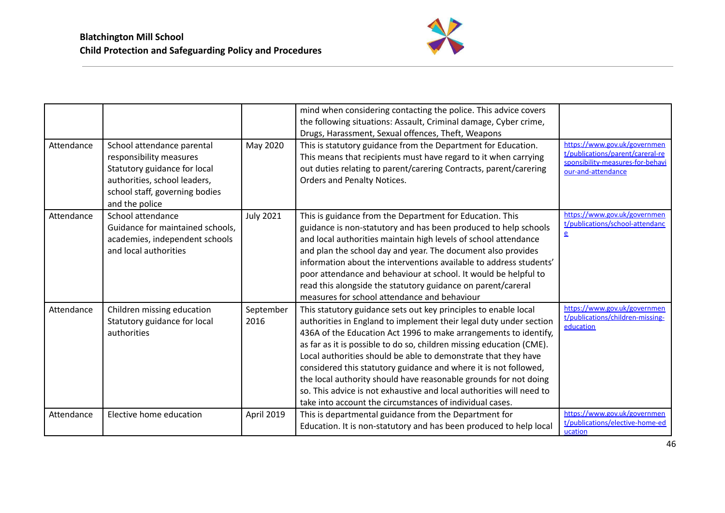

|            |                                                                                                                                                                           |                   | mind when considering contacting the police. This advice covers<br>the following situations: Assault, Criminal damage, Cyber crime,<br>Drugs, Harassment, Sexual offences, Theft, Weapons                                                                                                                                                                                                                                                                                                                                                                                                                                       |                                                                                                                            |
|------------|---------------------------------------------------------------------------------------------------------------------------------------------------------------------------|-------------------|---------------------------------------------------------------------------------------------------------------------------------------------------------------------------------------------------------------------------------------------------------------------------------------------------------------------------------------------------------------------------------------------------------------------------------------------------------------------------------------------------------------------------------------------------------------------------------------------------------------------------------|----------------------------------------------------------------------------------------------------------------------------|
| Attendance | School attendance parental<br>responsibility measures<br>Statutory guidance for local<br>authorities, school leaders,<br>school staff, governing bodies<br>and the police | May 2020          | This is statutory guidance from the Department for Education.<br>This means that recipients must have regard to it when carrying<br>out duties relating to parent/carering Contracts, parent/carering<br><b>Orders and Penalty Notices.</b>                                                                                                                                                                                                                                                                                                                                                                                     | https://www.gov.uk/governmen<br>t/publications/parent/careral-re<br>sponsibility-measures-for-behavi<br>our-and-attendance |
| Attendance | School attendance<br>Guidance for maintained schools,<br>academies, independent schools<br>and local authorities                                                          | <b>July 2021</b>  | This is guidance from the Department for Education. This<br>guidance is non-statutory and has been produced to help schools<br>and local authorities maintain high levels of school attendance<br>and plan the school day and year. The document also provides<br>information about the interventions available to address students'<br>poor attendance and behaviour at school. It would be helpful to<br>read this alongside the statutory guidance on parent/careral<br>measures for school attendance and behaviour                                                                                                         | https://www.gov.uk/governmen<br>t/publications/school-attendanc<br>$\mathbf{e}$                                            |
| Attendance | Children missing education<br>Statutory guidance for local<br>authorities                                                                                                 | September<br>2016 | This statutory guidance sets out key principles to enable local<br>authorities in England to implement their legal duty under section<br>436A of the Education Act 1996 to make arrangements to identify,<br>as far as it is possible to do so, children missing education (CME).<br>Local authorities should be able to demonstrate that they have<br>considered this statutory guidance and where it is not followed,<br>the local authority should have reasonable grounds for not doing<br>so. This advice is not exhaustive and local authorities will need to<br>take into account the circumstances of individual cases. | https://www.gov.uk/governmen<br>t/publications/children-missing-<br>education                                              |
| Attendance | Elective home education                                                                                                                                                   | April 2019        | This is departmental guidance from the Department for<br>Education. It is non-statutory and has been produced to help local                                                                                                                                                                                                                                                                                                                                                                                                                                                                                                     | https://www.gov.uk/governmen<br>t/publications/elective-home-ed<br>ucation                                                 |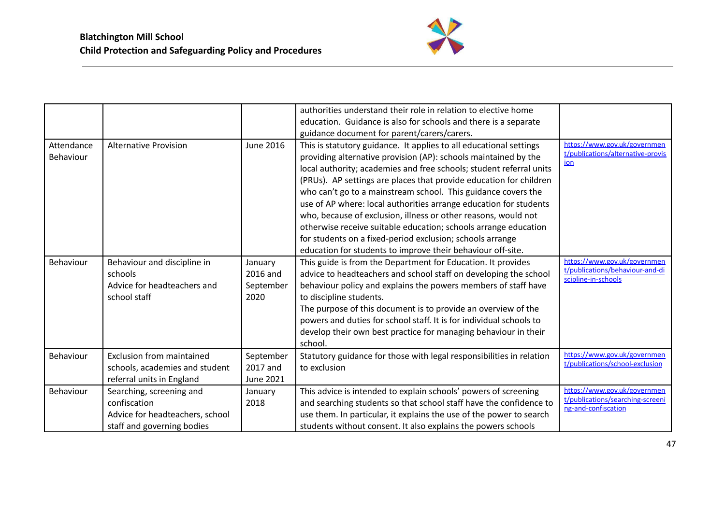

|                         |                                                                                                           |                                           | authorities understand their role in relation to elective home<br>education. Guidance is also for schools and there is a separate<br>guidance document for parent/carers/carers.                                                                                                                                                                                                                                                                                                                                                                                                                                                                                                          |                                                                                         |
|-------------------------|-----------------------------------------------------------------------------------------------------------|-------------------------------------------|-------------------------------------------------------------------------------------------------------------------------------------------------------------------------------------------------------------------------------------------------------------------------------------------------------------------------------------------------------------------------------------------------------------------------------------------------------------------------------------------------------------------------------------------------------------------------------------------------------------------------------------------------------------------------------------------|-----------------------------------------------------------------------------------------|
| Attendance<br>Behaviour | <b>Alternative Provision</b>                                                                              | <b>June 2016</b>                          | This is statutory guidance. It applies to all educational settings<br>providing alternative provision (AP): schools maintained by the<br>local authority; academies and free schools; student referral units<br>(PRUs). AP settings are places that provide education for children<br>who can't go to a mainstream school. This guidance covers the<br>use of AP where: local authorities arrange education for students<br>who, because of exclusion, illness or other reasons, would not<br>otherwise receive suitable education; schools arrange education<br>for students on a fixed-period exclusion; schools arrange<br>education for students to improve their behaviour off-site. | https://www.gov.uk/governmen<br>t/publications/alternative-provis<br>ion                |
| Behaviour               | Behaviour and discipline in<br>schools<br>Advice for headteachers and<br>school staff                     | January<br>2016 and<br>September<br>2020  | This guide is from the Department for Education. It provides<br>advice to headteachers and school staff on developing the school<br>behaviour policy and explains the powers members of staff have<br>to discipline students.<br>The purpose of this document is to provide an overview of the<br>powers and duties for school staff. It is for individual schools to<br>develop their own best practice for managing behaviour in their<br>school.                                                                                                                                                                                                                                       | https://www.gov.uk/governmen<br>t/publications/behaviour-and-di<br>scipline-in-schools  |
| Behaviour               | <b>Exclusion from maintained</b><br>schools, academies and student<br>referral units in England           | September<br>2017 and<br><b>June 2021</b> | Statutory guidance for those with legal responsibilities in relation<br>to exclusion                                                                                                                                                                                                                                                                                                                                                                                                                                                                                                                                                                                                      | https://www.gov.uk/governmen<br>t/publications/school-exclusion                         |
| Behaviour               | Searching, screening and<br>confiscation<br>Advice for headteachers, school<br>staff and governing bodies | January<br>2018                           | This advice is intended to explain schools' powers of screening<br>and searching students so that school staff have the confidence to<br>use them. In particular, it explains the use of the power to search<br>students without consent. It also explains the powers schools                                                                                                                                                                                                                                                                                                                                                                                                             | https://www.gov.uk/governmen<br>t/publications/searching-screeni<br>ng-and-confiscation |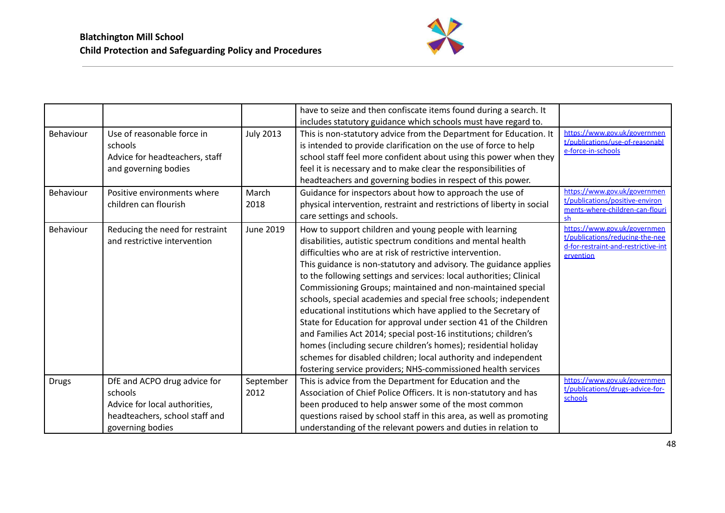

|              |                                                                                                                                |                   | have to seize and then confiscate items found during a search. It                                                                                                                                                                                                                                                                                                                                                                                                                                                                                                                                                                                                                                                                                                                                                                                                                  |                                                                                                                     |
|--------------|--------------------------------------------------------------------------------------------------------------------------------|-------------------|------------------------------------------------------------------------------------------------------------------------------------------------------------------------------------------------------------------------------------------------------------------------------------------------------------------------------------------------------------------------------------------------------------------------------------------------------------------------------------------------------------------------------------------------------------------------------------------------------------------------------------------------------------------------------------------------------------------------------------------------------------------------------------------------------------------------------------------------------------------------------------|---------------------------------------------------------------------------------------------------------------------|
|              |                                                                                                                                |                   | includes statutory guidance which schools must have regard to.                                                                                                                                                                                                                                                                                                                                                                                                                                                                                                                                                                                                                                                                                                                                                                                                                     |                                                                                                                     |
| Behaviour    | Use of reasonable force in<br>schools<br>Advice for headteachers, staff<br>and governing bodies                                | <b>July 2013</b>  | This is non-statutory advice from the Department for Education. It<br>is intended to provide clarification on the use of force to help<br>school staff feel more confident about using this power when they<br>feel it is necessary and to make clear the responsibilities of<br>headteachers and governing bodies in respect of this power.                                                                                                                                                                                                                                                                                                                                                                                                                                                                                                                                       | https://www.gov.uk/governmen<br>t/publications/use-of-reasonabl<br>e-force-in-schools                               |
| Behaviour    | Positive environments where<br>children can flourish                                                                           | March<br>2018     | Guidance for inspectors about how to approach the use of<br>physical intervention, restraint and restrictions of liberty in social<br>care settings and schools.                                                                                                                                                                                                                                                                                                                                                                                                                                                                                                                                                                                                                                                                                                                   | https://www.gov.uk/governmen<br>t/publications/positive-environ<br>ments-where-children-can-flouri<br>sh            |
| Behaviour    | Reducing the need for restraint<br>and restrictive intervention                                                                | <b>June 2019</b>  | How to support children and young people with learning<br>disabilities, autistic spectrum conditions and mental health<br>difficulties who are at risk of restrictive intervention.<br>This guidance is non-statutory and advisory. The guidance applies<br>to the following settings and services: local authorities; Clinical<br>Commissioning Groups; maintained and non-maintained special<br>schools, special academies and special free schools; independent<br>educational institutions which have applied to the Secretary of<br>State for Education for approval under section 41 of the Children<br>and Families Act 2014; special post-16 institutions; children's<br>homes (including secure children's homes); residential holiday<br>schemes for disabled children; local authority and independent<br>fostering service providers; NHS-commissioned health services | https://www.gov.uk/governmen<br>t/publications/reducing-the-nee<br>d-for-restraint-and-restrictive-int<br>ervention |
| <b>Drugs</b> | DfE and ACPO drug advice for<br>schools<br>Advice for local authorities,<br>headteachers, school staff and<br>governing bodies | September<br>2012 | This is advice from the Department for Education and the<br>Association of Chief Police Officers. It is non-statutory and has<br>been produced to help answer some of the most common<br>questions raised by school staff in this area, as well as promoting<br>understanding of the relevant powers and duties in relation to                                                                                                                                                                                                                                                                                                                                                                                                                                                                                                                                                     | https://www.gov.uk/governmen<br>t/publications/drugs-advice-for-<br>schools                                         |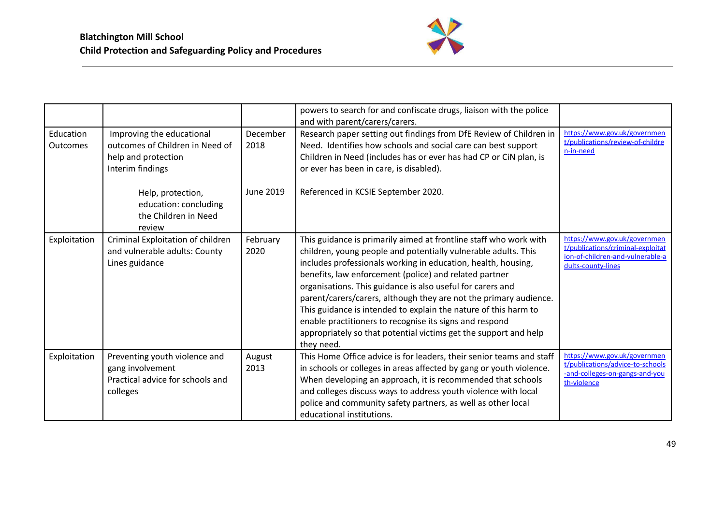

|                              |                                                                                                         |                  | powers to search for and confiscate drugs, liaison with the police<br>and with parent/carers/carers.                                                                                                                                                                                                                                                                                                                                                                                                                                                                                                              |                                                                                                                             |
|------------------------------|---------------------------------------------------------------------------------------------------------|------------------|-------------------------------------------------------------------------------------------------------------------------------------------------------------------------------------------------------------------------------------------------------------------------------------------------------------------------------------------------------------------------------------------------------------------------------------------------------------------------------------------------------------------------------------------------------------------------------------------------------------------|-----------------------------------------------------------------------------------------------------------------------------|
| Education<br><b>Outcomes</b> | Improving the educational<br>outcomes of Children in Need of<br>help and protection<br>Interim findings | December<br>2018 | Research paper setting out findings from DfE Review of Children in<br>Need. Identifies how schools and social care can best support<br>Children in Need (includes has or ever has had CP or CiN plan, is<br>or ever has been in care, is disabled).                                                                                                                                                                                                                                                                                                                                                               | https://www.gov.uk/governmen<br>t/publications/review-of-childre<br>n-in-need                                               |
|                              | Help, protection,<br>education: concluding<br>the Children in Need<br>review                            | June 2019        | Referenced in KCSIE September 2020.                                                                                                                                                                                                                                                                                                                                                                                                                                                                                                                                                                               |                                                                                                                             |
| Exploitation                 | Criminal Exploitation of children<br>and vulnerable adults: County<br>Lines guidance                    | February<br>2020 | This guidance is primarily aimed at frontline staff who work with<br>children, young people and potentially vulnerable adults. This<br>includes professionals working in education, health, housing,<br>benefits, law enforcement (police) and related partner<br>organisations. This guidance is also useful for carers and<br>parent/carers/carers, although they are not the primary audience.<br>This guidance is intended to explain the nature of this harm to<br>enable practitioners to recognise its signs and respond<br>appropriately so that potential victims get the support and help<br>they need. | https://www.gov.uk/governmen<br>t/publications/criminal-exploitat<br>ion-of-children-and-vulnerable-a<br>dults-county-lines |
| Exploitation                 | Preventing youth violence and<br>gang involvement<br>Practical advice for schools and<br>colleges       | August<br>2013   | This Home Office advice is for leaders, their senior teams and staff<br>in schools or colleges in areas affected by gang or youth violence.<br>When developing an approach, it is recommended that schools<br>and colleges discuss ways to address youth violence with local<br>police and community safety partners, as well as other local<br>educational institutions.                                                                                                                                                                                                                                         | https://www.gov.uk/governmen<br>t/publications/advice-to-schools<br>-and-colleges-on-gangs-and-you<br>th-violence           |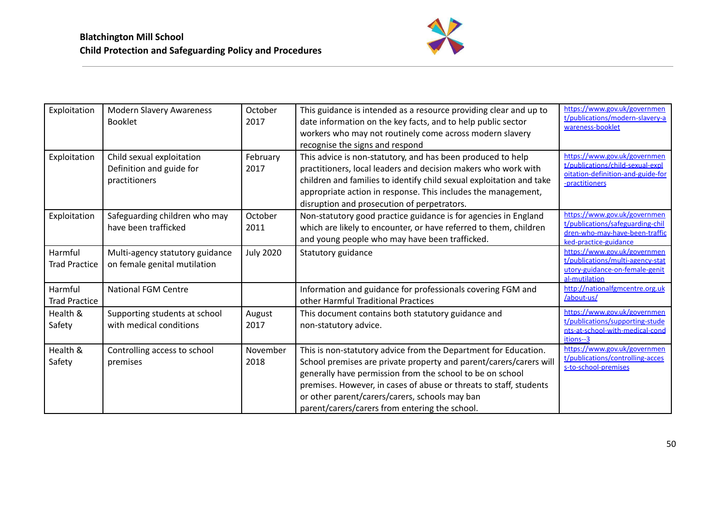

| Exploitation                    | <b>Modern Slavery Awareness</b><br><b>Booklet</b>                      | October<br>2017  | This guidance is intended as a resource providing clear and up to<br>date information on the key facts, and to help public sector<br>workers who may not routinely come across modern slavery<br>recognise the signs and respond                                                                                                                                             | https://www.gov.uk/governmen<br>t/publications/modern-slavery-a<br>wareness-booklet                                         |
|---------------------------------|------------------------------------------------------------------------|------------------|------------------------------------------------------------------------------------------------------------------------------------------------------------------------------------------------------------------------------------------------------------------------------------------------------------------------------------------------------------------------------|-----------------------------------------------------------------------------------------------------------------------------|
| Exploitation                    | Child sexual exploitation<br>Definition and guide for<br>practitioners | February<br>2017 | This advice is non-statutory, and has been produced to help<br>practitioners, local leaders and decision makers who work with<br>children and families to identify child sexual exploitation and take<br>appropriate action in response. This includes the management,<br>disruption and prosecution of perpetrators.                                                        | https://www.gov.uk/governmen<br>t/publications/child-sexual-expl<br>oitation-definition-and-guide-for<br>-practitioners     |
| Exploitation                    | Safeguarding children who may<br>have been trafficked                  | October<br>2011  | Non-statutory good practice guidance is for agencies in England<br>which are likely to encounter, or have referred to them, children<br>and young people who may have been trafficked.                                                                                                                                                                                       | https://www.gov.uk/governmen<br>t/publications/safeguarding-chil<br>dren-who-may-have-been-traffic<br>ked-practice-guidance |
| Harmful<br><b>Trad Practice</b> | Multi-agency statutory guidance<br>on female genital mutilation        | <b>July 2020</b> | Statutory guidance                                                                                                                                                                                                                                                                                                                                                           | https://www.gov.uk/governmen<br>t/publications/multi-agency-stat<br>utory-guidance-on-female-genit<br>al-mutilation         |
| Harmful<br><b>Trad Practice</b> | <b>National FGM Centre</b>                                             |                  | Information and guidance for professionals covering FGM and<br>other Harmful Traditional Practices                                                                                                                                                                                                                                                                           | http://nationalfgmcentre.org.uk<br>/about-us/                                                                               |
| Health &<br>Safety              | Supporting students at school<br>with medical conditions               | August<br>2017   | This document contains both statutory guidance and<br>non-statutory advice.                                                                                                                                                                                                                                                                                                  | https://www.gov.uk/governmen<br>t/publications/supporting-stude<br>nts-at-school-with-medical-cond<br>itions--3             |
| Health &<br>Safety              | Controlling access to school<br>premises                               | November<br>2018 | This is non-statutory advice from the Department for Education.<br>School premises are private property and parent/carers/carers will<br>generally have permission from the school to be on school<br>premises. However, in cases of abuse or threats to staff, students<br>or other parent/carers/carers, schools may ban<br>parent/carers/carers from entering the school. | https://www.gov.uk/governmen<br>t/publications/controlling-acces<br>s-to-school-premises                                    |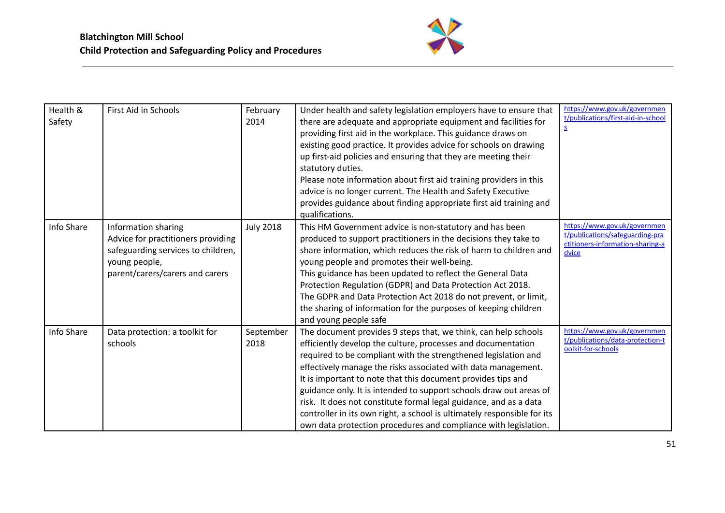

| Health &<br>Safety | First Aid in Schools                                                                                                                                | February<br>2014  | Under health and safety legislation employers have to ensure that<br>there are adequate and appropriate equipment and facilities for<br>providing first aid in the workplace. This guidance draws on<br>existing good practice. It provides advice for schools on drawing<br>up first-aid policies and ensuring that they are meeting their<br>statutory duties.<br>Please note information about first aid training providers in this<br>advice is no longer current. The Health and Safety Executive<br>provides guidance about finding appropriate first aid training and<br>qualifications.                            | https://www.gov.uk/governmen<br>t/publications/first-aid-in-school<br>$\underline{\mathsf{S}}$               |
|--------------------|-----------------------------------------------------------------------------------------------------------------------------------------------------|-------------------|----------------------------------------------------------------------------------------------------------------------------------------------------------------------------------------------------------------------------------------------------------------------------------------------------------------------------------------------------------------------------------------------------------------------------------------------------------------------------------------------------------------------------------------------------------------------------------------------------------------------------|--------------------------------------------------------------------------------------------------------------|
| Info Share         | Information sharing<br>Advice for practitioners providing<br>safeguarding services to children,<br>young people,<br>parent/carers/carers and carers | <b>July 2018</b>  | This HM Government advice is non-statutory and has been<br>produced to support practitioners in the decisions they take to<br>share information, which reduces the risk of harm to children and<br>young people and promotes their well-being.<br>This guidance has been updated to reflect the General Data<br>Protection Regulation (GDPR) and Data Protection Act 2018.<br>The GDPR and Data Protection Act 2018 do not prevent, or limit,<br>the sharing of information for the purposes of keeping children<br>and young people safe                                                                                  | https://www.gov.uk/governmen<br>t/publications/safeguarding-pra<br>ctitioners-information-sharing-a<br>dvice |
| Info Share         | Data protection: a toolkit for<br>schools                                                                                                           | September<br>2018 | The document provides 9 steps that, we think, can help schools<br>efficiently develop the culture, processes and documentation<br>required to be compliant with the strengthened legislation and<br>effectively manage the risks associated with data management.<br>It is important to note that this document provides tips and<br>guidance only. It is intended to support schools draw out areas of<br>risk. It does not constitute formal legal guidance, and as a data<br>controller in its own right, a school is ultimately responsible for its<br>own data protection procedures and compliance with legislation. | https://www.gov.uk/governmen<br>t/publications/data-protection-t<br>oolkit-for-schools                       |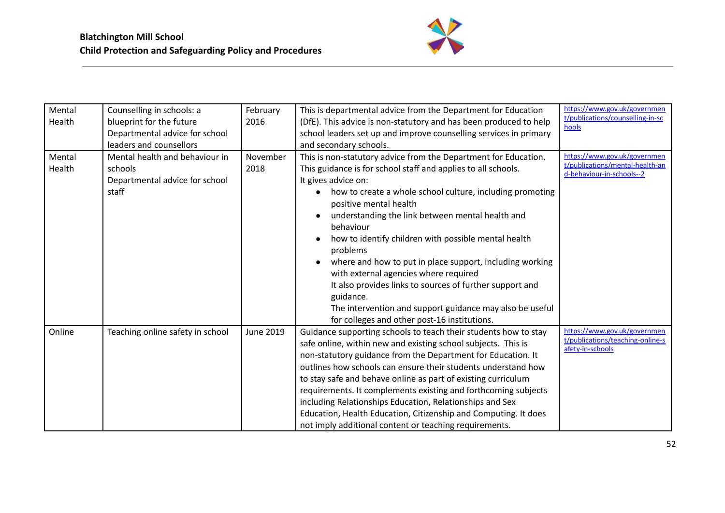

| Mental<br>Health | Counselling in schools: a<br>blueprint for the future<br>Departmental advice for school | February<br>2016 | This is departmental advice from the Department for Education<br>(DfE). This advice is non-statutory and has been produced to help<br>school leaders set up and improve counselling services in primary                                                                                                                                                                                                                                                                                                                                                                                                                                                                       | https://www.gov.uk/governmen<br>t/publications/counselling-in-sc<br>hools                    |
|------------------|-----------------------------------------------------------------------------------------|------------------|-------------------------------------------------------------------------------------------------------------------------------------------------------------------------------------------------------------------------------------------------------------------------------------------------------------------------------------------------------------------------------------------------------------------------------------------------------------------------------------------------------------------------------------------------------------------------------------------------------------------------------------------------------------------------------|----------------------------------------------------------------------------------------------|
|                  | leaders and counsellors                                                                 |                  | and secondary schools.                                                                                                                                                                                                                                                                                                                                                                                                                                                                                                                                                                                                                                                        |                                                                                              |
| Mental<br>Health | Mental health and behaviour in<br>schools<br>Departmental advice for school<br>staff    | November<br>2018 | This is non-statutory advice from the Department for Education.<br>This guidance is for school staff and applies to all schools.<br>It gives advice on:<br>how to create a whole school culture, including promoting<br>positive mental health<br>understanding the link between mental health and<br>behaviour<br>how to identify children with possible mental health<br>problems<br>where and how to put in place support, including working<br>with external agencies where required<br>It also provides links to sources of further support and<br>guidance.<br>The intervention and support guidance may also be useful<br>for colleges and other post-16 institutions. | https://www.gov.uk/governmen<br>t/publications/mental-health-an<br>d-behaviour-in-schools--2 |
| Online           | Teaching online safety in school                                                        | <b>June 2019</b> | Guidance supporting schools to teach their students how to stay<br>safe online, within new and existing school subjects. This is<br>non-statutory guidance from the Department for Education. It<br>outlines how schools can ensure their students understand how<br>to stay safe and behave online as part of existing curriculum<br>requirements. It complements existing and forthcoming subjects<br>including Relationships Education, Relationships and Sex<br>Education, Health Education, Citizenship and Computing. It does<br>not imply additional content or teaching requirements.                                                                                 | https://www.gov.uk/governmen<br>t/publications/teaching-online-s<br>afety-in-schools         |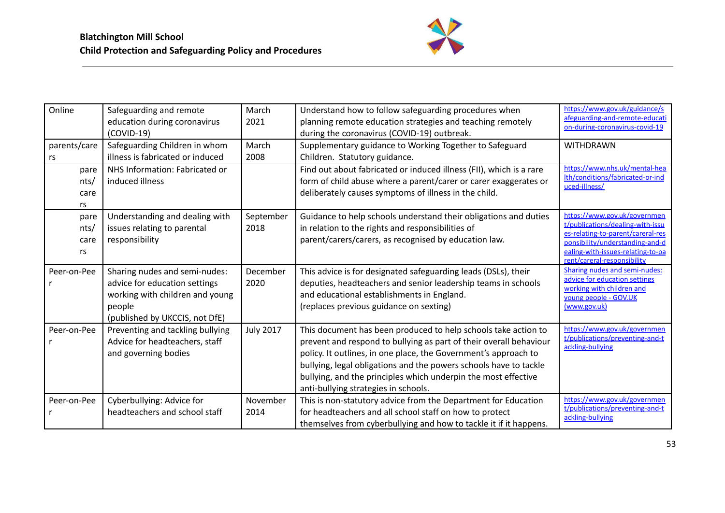

| Online                     | Safeguarding and remote<br>education during coronavirus<br>$(COVID-19)$                                                                       | March<br>2021     | Understand how to follow safeguarding procedures when<br>planning remote education strategies and teaching remotely<br>during the coronavirus (COVID-19) outbreak.                                                                                                                                                                                                                     | https://www.gov.uk/guidance/s<br>afeguarding-and-remote-educati<br>on-during-coronavirus-covid-19                                                                                                            |
|----------------------------|-----------------------------------------------------------------------------------------------------------------------------------------------|-------------------|----------------------------------------------------------------------------------------------------------------------------------------------------------------------------------------------------------------------------------------------------------------------------------------------------------------------------------------------------------------------------------------|--------------------------------------------------------------------------------------------------------------------------------------------------------------------------------------------------------------|
| parents/care<br>rs         | Safeguarding Children in whom<br>illness is fabricated or induced                                                                             | March<br>2008     | Supplementary guidance to Working Together to Safeguard<br>Children. Statutory guidance.                                                                                                                                                                                                                                                                                               | <b>WITHDRAWN</b>                                                                                                                                                                                             |
| pare<br>nts/<br>care<br>rs | NHS Information: Fabricated or<br>induced illness                                                                                             |                   | Find out about fabricated or induced illness (FII), which is a rare<br>form of child abuse where a parent/carer or carer exaggerates or<br>deliberately causes symptoms of illness in the child.                                                                                                                                                                                       | https://www.nhs.uk/mental-hea<br>Ith/conditions/fabricated-or-ind<br>uced-illness/                                                                                                                           |
| pare<br>nts/<br>care<br>rs | Understanding and dealing with<br>issues relating to parental<br>responsibility                                                               | September<br>2018 | Guidance to help schools understand their obligations and duties<br>in relation to the rights and responsibilities of<br>parent/carers/carers, as recognised by education law.                                                                                                                                                                                                         | https://www.gov.uk/governmen<br>t/publications/dealing-with-issu<br>es-relating-to-parent/careral-res<br>ponsibility/understanding-and-d<br>ealing-with-issues-relating-to-pa<br>rent/careral-responsibility |
| Peer-on-Pee                | Sharing nudes and semi-nudes:<br>advice for education settings<br>working with children and young<br>people<br>(published by UKCCIS, not DfE) | December<br>2020  | This advice is for designated safeguarding leads (DSLs), their<br>deputies, headteachers and senior leadership teams in schools<br>and educational establishments in England.<br>(replaces previous guidance on sexting)                                                                                                                                                               | <b>Sharing nudes and semi-nudes:</b><br>advice for education settings<br>working with children and<br>young people - GOV.UK<br>(www.gov.uk)                                                                  |
| Peer-on-Pee                | Preventing and tackling bullying<br>Advice for headteachers, staff<br>and governing bodies                                                    | <b>July 2017</b>  | This document has been produced to help schools take action to<br>prevent and respond to bullying as part of their overall behaviour<br>policy. It outlines, in one place, the Government's approach to<br>bullying, legal obligations and the powers schools have to tackle<br>bullying, and the principles which underpin the most effective<br>anti-bullying strategies in schools. | https://www.gov.uk/governmen<br>t/publications/preventing-and-t<br>ackling-bullying                                                                                                                          |
| Peer-on-Pee                | Cyberbullying: Advice for<br>headteachers and school staff                                                                                    | November<br>2014  | This is non-statutory advice from the Department for Education<br>for headteachers and all school staff on how to protect<br>themselves from cyberbullying and how to tackle it if it happens.                                                                                                                                                                                         | https://www.gov.uk/governmen<br>t/publications/preventing-and-t<br>ackling-bullying                                                                                                                          |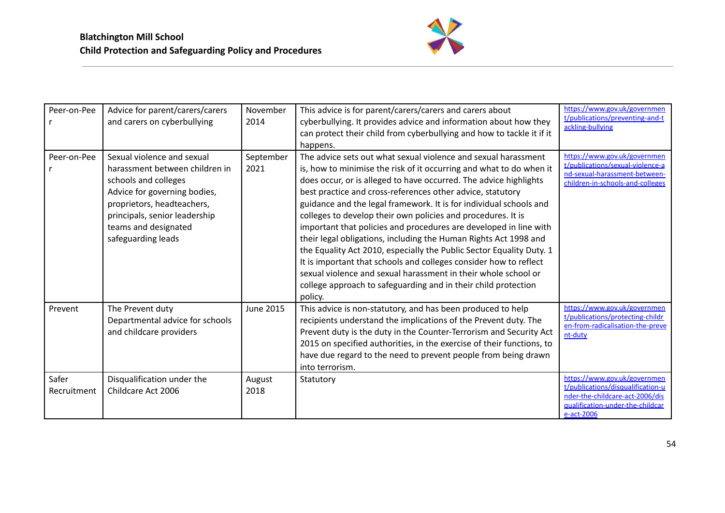

| Peer-on-Pee          | Advice for parent/carers/carers<br>and carers on cyberbullying                                                                                                                                                                    | November<br>2014  | This advice is for parent/carers/carers and carers about<br>cyberbullying. It provides advice and information about how they<br>can protect their child from cyberbullying and how to tackle it if it<br>happens.                                                                                                                                                                                                                                                                                                                                                                                                                                                                                                                                                                                                                                   | https://www.gov.uk/governmen<br>t/publications/preventing-and-t<br>ackling-bullying                                                                    |
|----------------------|-----------------------------------------------------------------------------------------------------------------------------------------------------------------------------------------------------------------------------------|-------------------|-----------------------------------------------------------------------------------------------------------------------------------------------------------------------------------------------------------------------------------------------------------------------------------------------------------------------------------------------------------------------------------------------------------------------------------------------------------------------------------------------------------------------------------------------------------------------------------------------------------------------------------------------------------------------------------------------------------------------------------------------------------------------------------------------------------------------------------------------------|--------------------------------------------------------------------------------------------------------------------------------------------------------|
| Peer-on-Pee          | Sexual violence and sexual<br>harassment between children in<br>schools and colleges<br>Advice for governing bodies,<br>proprietors, headteachers,<br>principals, senior leadership<br>teams and designated<br>safeguarding leads | September<br>2021 | The advice sets out what sexual violence and sexual harassment<br>is, how to minimise the risk of it occurring and what to do when it<br>does occur, or is alleged to have occurred. The advice highlights<br>best practice and cross-references other advice, statutory<br>guidance and the legal framework. It is for individual schools and<br>colleges to develop their own policies and procedures. It is<br>important that policies and procedures are developed in line with<br>their legal obligations, including the Human Rights Act 1998 and<br>the Equality Act 2010, especially the Public Sector Equality Duty. 1<br>It is important that schools and colleges consider how to reflect<br>sexual violence and sexual harassment in their whole school or<br>college approach to safeguarding and in their child protection<br>policy. | https://www.gov.uk/governmen<br>t/publications/sexual-violence-a<br>nd-sexual-harassment-between-<br>children-in-schools-and-colleges                  |
| Prevent              | The Prevent duty<br>Departmental advice for schools<br>and childcare providers                                                                                                                                                    | <b>June 2015</b>  | This advice is non-statutory, and has been produced to help<br>recipients understand the implications of the Prevent duty. The<br>Prevent duty is the duty in the Counter-Terrorism and Security Act<br>2015 on specified authorities, in the exercise of their functions, to<br>have due regard to the need to prevent people from being drawn<br>into terrorism.                                                                                                                                                                                                                                                                                                                                                                                                                                                                                  | https://www.gov.uk/governmen<br>t/publications/protecting-childr<br>en-from-radicalisation-the-preve<br>nt-duty                                        |
| Safer<br>Recruitment | Disqualification under the<br>Childcare Act 2006                                                                                                                                                                                  | August<br>2018    | Statutory                                                                                                                                                                                                                                                                                                                                                                                                                                                                                                                                                                                                                                                                                                                                                                                                                                           | https://www.gov.uk/governmen<br>t/publications/disqualification-u<br>nder-the-childcare-act-2006/dis<br>qualification-under-the-childcar<br>e-act-2006 |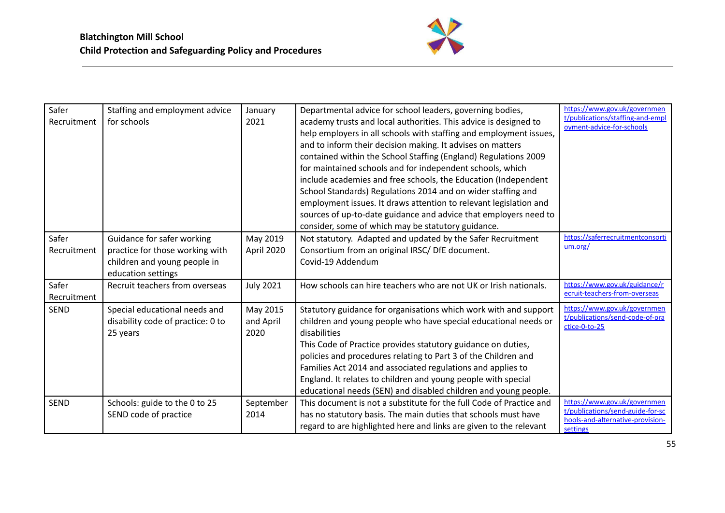

| Safer<br>Recruitment | Staffing and employment advice<br>for schools                                                                       | January<br>2021               | Departmental advice for school leaders, governing bodies,<br>academy trusts and local authorities. This advice is designed to<br>help employers in all schools with staffing and employment issues,<br>and to inform their decision making. It advises on matters<br>contained within the School Staffing (England) Regulations 2009<br>for maintained schools and for independent schools, which<br>include academies and free schools, the Education (Independent<br>School Standards) Regulations 2014 and on wider staffing and<br>employment issues. It draws attention to relevant legislation and<br>sources of up-to-date guidance and advice that employers need to<br>consider, some of which may be statutory guidance. | https://www.gov.uk/governmen<br>t/publications/staffing-and-empl<br>oyment-advice-for-schools                    |
|----------------------|---------------------------------------------------------------------------------------------------------------------|-------------------------------|------------------------------------------------------------------------------------------------------------------------------------------------------------------------------------------------------------------------------------------------------------------------------------------------------------------------------------------------------------------------------------------------------------------------------------------------------------------------------------------------------------------------------------------------------------------------------------------------------------------------------------------------------------------------------------------------------------------------------------|------------------------------------------------------------------------------------------------------------------|
| Safer<br>Recruitment | Guidance for safer working<br>practice for those working with<br>children and young people in<br>education settings | May 2019<br>April 2020        | Not statutory. Adapted and updated by the Safer Recruitment<br>Consortium from an original IRSC/ DfE document.<br>Covid-19 Addendum                                                                                                                                                                                                                                                                                                                                                                                                                                                                                                                                                                                                | https://saferrecruitmentconsorti<br>um.org/                                                                      |
| Safer<br>Recruitment | Recruit teachers from overseas                                                                                      | <b>July 2021</b>              | How schools can hire teachers who are not UK or Irish nationals.                                                                                                                                                                                                                                                                                                                                                                                                                                                                                                                                                                                                                                                                   | https://www.gov.uk/guidance/r<br>ecruit-teachers-from-overseas                                                   |
| <b>SEND</b>          | Special educational needs and<br>disability code of practice: 0 to<br>25 years                                      | May 2015<br>and April<br>2020 | Statutory guidance for organisations which work with and support<br>children and young people who have special educational needs or<br>disabilities<br>This Code of Practice provides statutory guidance on duties,<br>policies and procedures relating to Part 3 of the Children and<br>Families Act 2014 and associated regulations and applies to<br>England. It relates to children and young people with special<br>educational needs (SEN) and disabled children and young people.                                                                                                                                                                                                                                           | https://www.gov.uk/governmen<br>t/publications/send-code-of-pra<br>ctice-0-to-25                                 |
| <b>SEND</b>          | Schools: guide to the 0 to 25<br>SEND code of practice                                                              | September<br>2014             | This document is not a substitute for the full Code of Practice and<br>has no statutory basis. The main duties that schools must have<br>regard to are highlighted here and links are given to the relevant                                                                                                                                                                                                                                                                                                                                                                                                                                                                                                                        | https://www.gov.uk/governmen<br>t/publications/send-guide-for-sc<br>hools-and-alternative-provision-<br>settings |